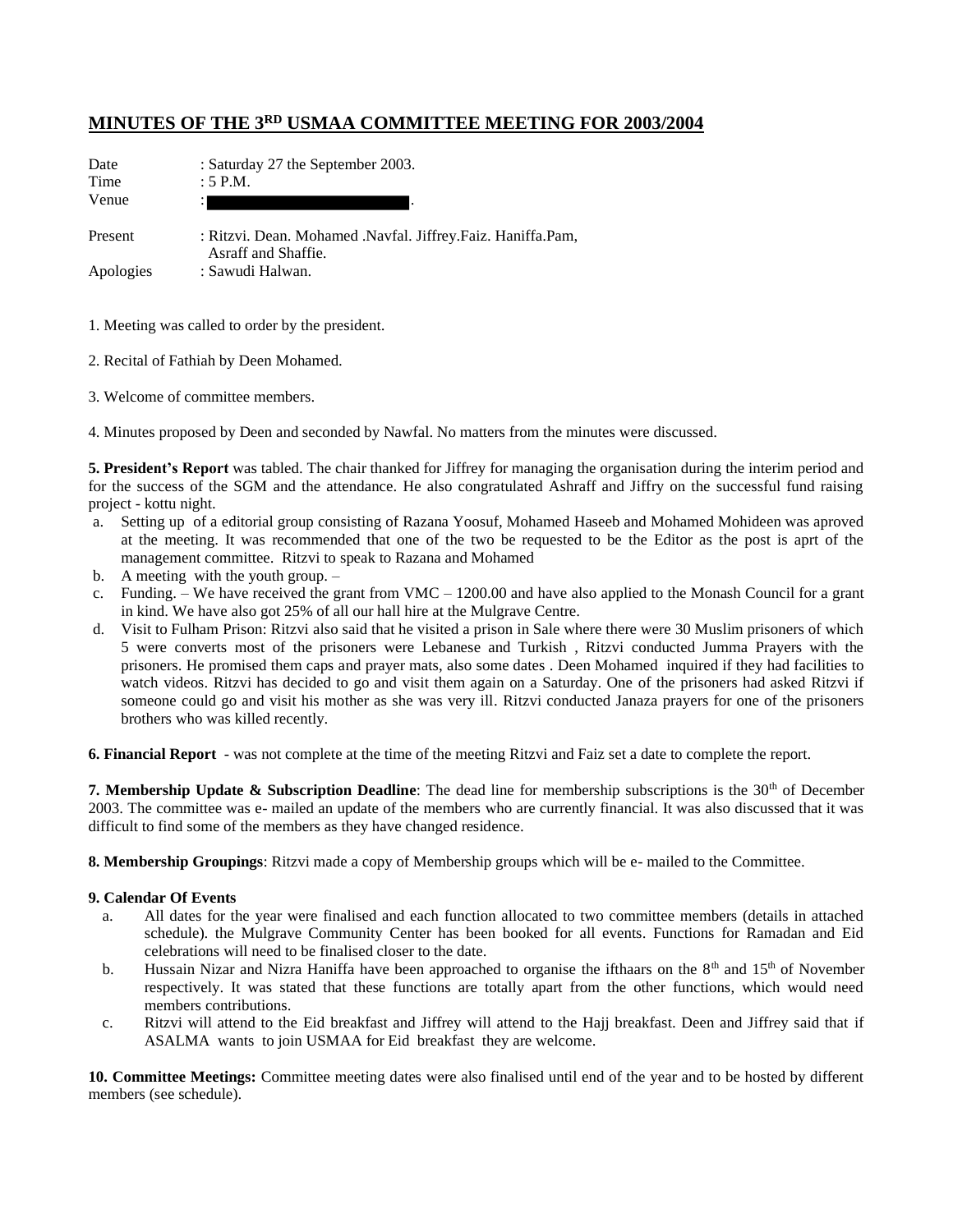#### **MINUTES OF THE 3RD USMAA COMMITTEE MEETING FOR 2003/2004**

| Date<br>Time<br>Venue | : Saturday 27 the September 2003.<br>: 5 P.M.                                      |
|-----------------------|------------------------------------------------------------------------------------|
| Present               | : Ritzvi. Dean. Mohamed .Navfal. Jiffrey.Faiz. Haniffa.Pam,<br>Asraff and Shaffie. |
| Apologies             | : Sawudi Halwan.                                                                   |

1. Meeting was called to order by the president.

- 2. Recital of Fathiah by Deen Mohamed.
- 3. Welcome of committee members.
- 4. Minutes proposed by Deen and seconded by Nawfal. No matters from the minutes were discussed.

**5. President's Report** was tabled. The chair thanked for Jiffrey for managing the organisation during the interim period and for the success of the SGM and the attendance. He also congratulated Ashraff and Jiffry on the successful fund raising project - kottu night.

- a. Setting up of a editorial group consisting of Razana Yoosuf, Mohamed Haseeb and Mohamed Mohideen was aproved at the meeting. It was recommended that one of the two be requested to be the Editor as the post is aprt of the management committee. Ritzvi to speak to Razana and Mohamed
- b. A meeting with the youth group. –
- c. Funding. We have received the grant from  $VMC 1200.00$  and have also applied to the Monash Council for a grant in kind. We have also got 25% of all our hall hire at the Mulgrave Centre.
- d. Visit to Fulham Prison: Ritzvi also said that he visited a prison in Sale where there were 30 Muslim prisoners of which 5 were converts most of the prisoners were Lebanese and Turkish , Ritzvi conducted Jumma Prayers with the prisoners. He promised them caps and prayer mats, also some dates . Deen Mohamed inquired if they had facilities to watch videos. Ritzvi has decided to go and visit them again on a Saturday. One of the prisoners had asked Ritzvi if someone could go and visit his mother as she was very ill. Ritzvi conducted Janaza prayers for one of the prisoners brothers who was killed recently.

**6. Financial Report** - was not complete at the time of the meeting Ritzvi and Faiz set a date to complete the report.

**7. Membership Update & Subscription Deadline**: The dead line for membership subscriptions is the 30<sup>th</sup> of December 2003. The committee was e- mailed an update of the members who are currently financial. It was also discussed that it was difficult to find some of the members as they have changed residence.

**8. Membership Groupings**: Ritzvi made a copy of Membership groups which will be e- mailed to the Committee.

#### **9. Calendar Of Events**

- a. All dates for the year were finalised and each function allocated to two committee members (details in attached schedule). the Mulgrave Community Center has been booked for all events. Functions for Ramadan and Eid celebrations will need to be finalised closer to the date.
- b. Hussain Nizar and Nizra Haniffa have been approached to organise the ifthaars on the  $8<sup>th</sup>$  and  $15<sup>th</sup>$  of November respectively. It was stated that these functions are totally apart from the other functions, which would need members contributions.
- c. Ritzvi will attend to the Eid breakfast and Jiffrey will attend to the Hajj breakfast. Deen and Jiffrey said that if ASALMA wants to join USMAA for Eid breakfast they are welcome.

**10. Committee Meetings:** Committee meeting dates were also finalised until end of the year and to be hosted by different members (see schedule).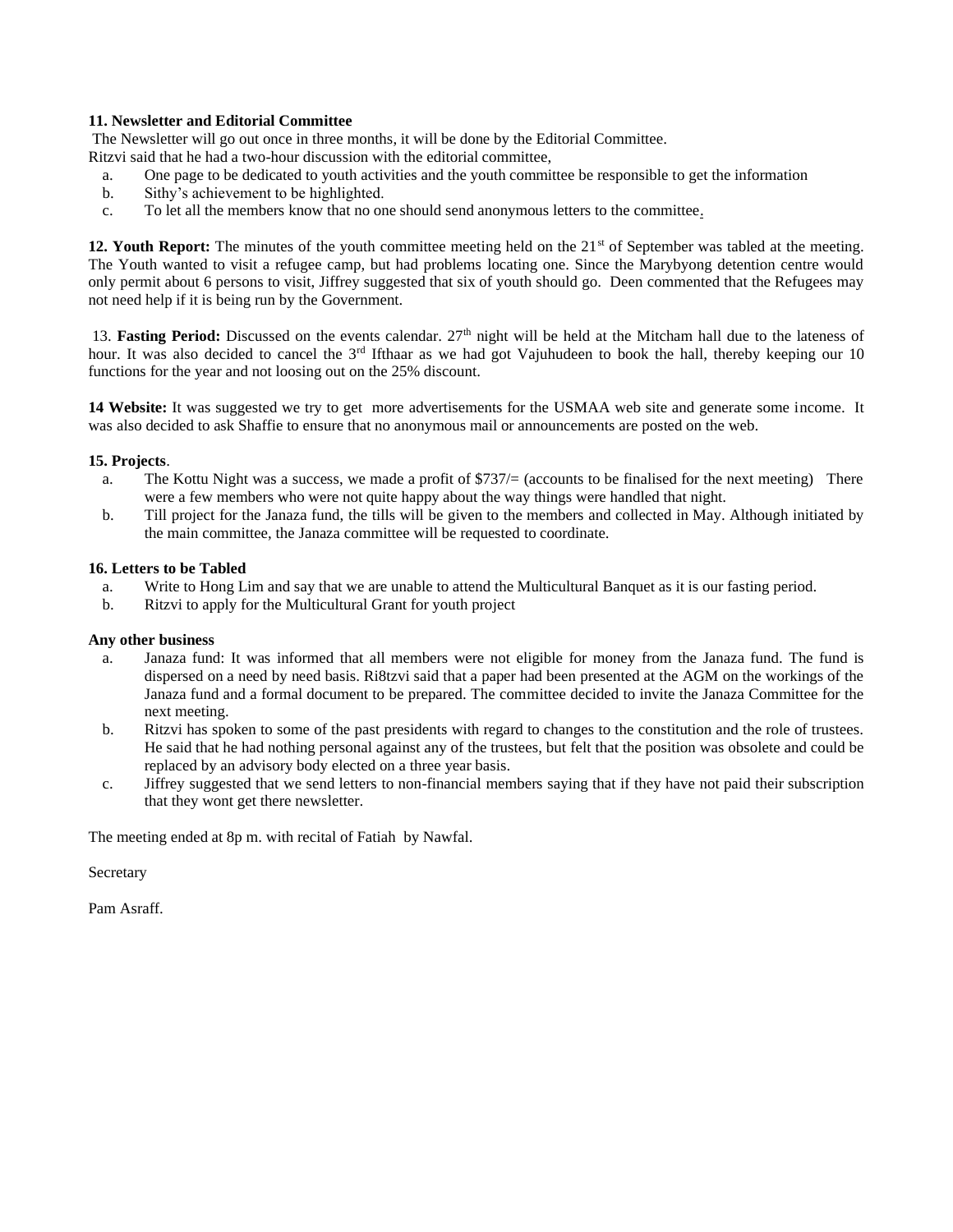#### **11. Newsletter and Editorial Committee**

The Newsletter will go out once in three months, it will be done by the Editorial Committee.

- Ritzvi said that he had a two-hour discussion with the editorial committee,
- a. One page to be dedicated to youth activities and the youth committee be responsible to get the information
- b. Sithy's achievement to be highlighted.
- c. To let all the members know that no one should send anonymous letters to the committee.

12. Youth Report: The minutes of the youth committee meeting held on the 21<sup>st</sup> of September was tabled at the meeting. The Youth wanted to visit a refugee camp, but had problems locating one. Since the Marybyong detention centre would only permit about 6 persons to visit, Jiffrey suggested that six of youth should go. Deen commented that the Refugees may not need help if it is being run by the Government.

13. **Fasting Period:** Discussed on the events calendar. 27th night will be held at the Mitcham hall due to the lateness of hour. It was also decided to cancel the  $3<sup>rd</sup>$  Ifthaar as we had got Vajuhudeen to book the hall, thereby keeping our 10 functions for the year and not loosing out on the 25% discount.

**14 Website:** It was suggested we try to get more advertisements for the USMAA web site and generate some income. It was also decided to ask Shaffie to ensure that no anonymous mail or announcements are posted on the web.

#### **15. Projects**.

- a. The Kottu Night was a success, we made a profit of  $\frac{2737}{6}$  (accounts to be finalised for the next meeting) There were a few members who were not quite happy about the way things were handled that night.
- b. Till project for the Janaza fund, the tills will be given to the members and collected in May. Although initiated by the main committee, the Janaza committee will be requested to coordinate.

#### **16. Letters to be Tabled**

- a. Write to Hong Lim and say that we are unable to attend the Multicultural Banquet as it is our fasting period.
- b. Ritzvi to apply for the Multicultural Grant for youth project

#### **Any other business**

- a. Janaza fund: It was informed that all members were not eligible for money from the Janaza fund. The fund is dispersed on a need by need basis. Ri8tzvi said that a paper had been presented at the AGM on the workings of the Janaza fund and a formal document to be prepared. The committee decided to invite the Janaza Committee for the next meeting.
- b. Ritzvi has spoken to some of the past presidents with regard to changes to the constitution and the role of trustees. He said that he had nothing personal against any of the trustees, but felt that the position was obsolete and could be replaced by an advisory body elected on a three year basis.
- c. Jiffrey suggested that we send letters to non-financial members saying that if they have not paid their subscription that they wont get there newsletter.

The meeting ended at 8p m. with recital of Fatiah by Nawfal.

Secretary

Pam Asraff.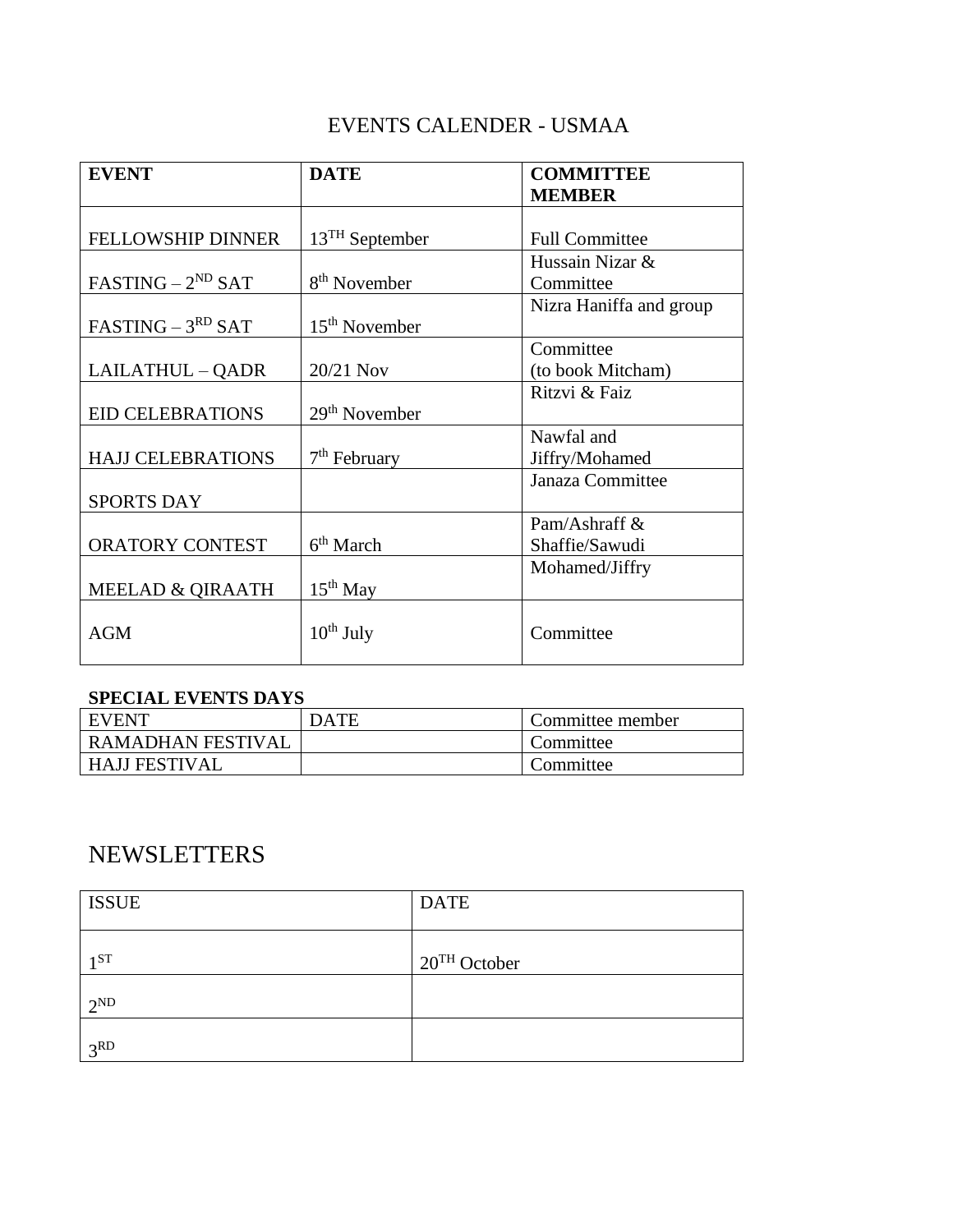## EVENTS CALENDER - USMAA

| <b>EVENT</b>                | <b>DATE</b>              | <b>COMMITTEE</b>        |  |
|-----------------------------|--------------------------|-------------------------|--|
|                             |                          | <b>MEMBER</b>           |  |
|                             |                          |                         |  |
| <b>FELLOWSHIP DINNER</b>    | $13TH$ September         | <b>Full Committee</b>   |  |
|                             |                          | Hussain Nizar &         |  |
| $FASTING - 2ND SAT$         | 8 <sup>th</sup> November | Committee               |  |
|                             |                          | Nizra Haniffa and group |  |
| $FASTING - 3RD SAT$         | $15th$ November          |                         |  |
|                             |                          | Committee               |  |
| LAILATHUL - QADR            | 20/21 Nov                | (to book Mitcham)       |  |
|                             |                          | Ritzvi & Faiz           |  |
| <b>EID CELEBRATIONS</b>     | $29th$ November          |                         |  |
|                             |                          | Nawfal and              |  |
| <b>HAJJ CELEBRATIONS</b>    | $7th$ February           | Jiffry/Mohamed          |  |
|                             |                          | Janaza Committee        |  |
| <b>SPORTS DAY</b>           |                          |                         |  |
|                             |                          | Pam/Ashraff $\&$        |  |
| ORATORY CONTEST             | 6 <sup>th</sup> March    | Shaffie/Sawudi          |  |
|                             |                          | Mohamed/Jiffry          |  |
| <b>MEELAD &amp; QIRAATH</b> | $15th$ May               |                         |  |
|                             |                          |                         |  |
| <b>AGM</b>                  | $10^{th}$ July           | Committee               |  |
|                             |                          |                         |  |

## **SPECIAL EVENTS DAYS**

| <b>EVENT</b>         | DATE | Committee member |
|----------------------|------|------------------|
| RAMADHAN FESTIVAL    |      | Committee        |
| <b>HAJJ FESTIVAL</b> |      | Committee        |

# NEWSLETTERS

| <b>ISSUE</b>    | <b>DATE</b>    |
|-----------------|----------------|
| $1^{ST}$        | $20TH$ October |
| $2^{\rm ND}$    |                |
| 3 <sup>RD</sup> |                |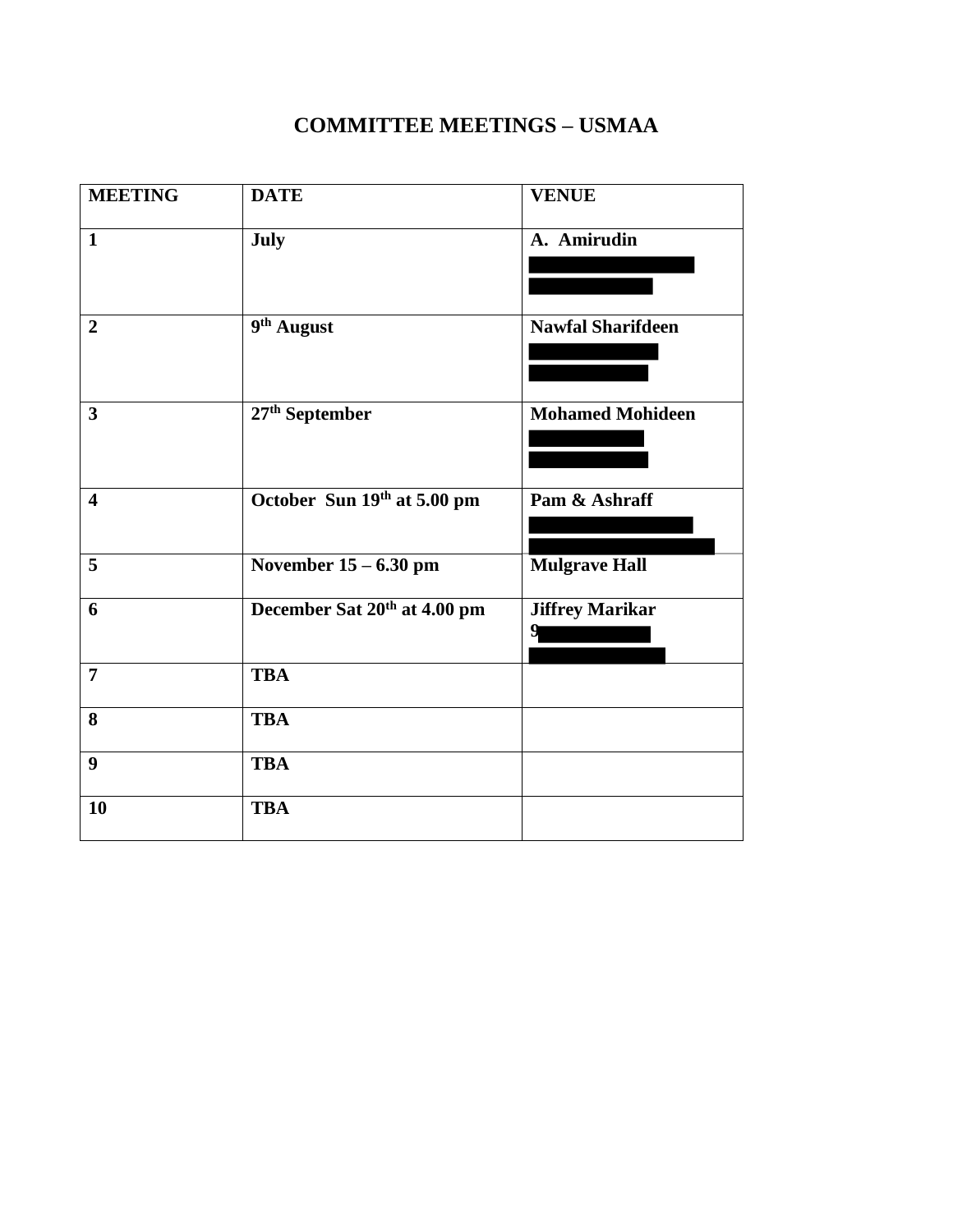## **COMMITTEE MEETINGS – USMAA**

| <b>MEETING</b>          | <b>DATE</b>                  | <b>VENUE</b>                |
|-------------------------|------------------------------|-----------------------------|
| $\mathbf{1}$            | July                         | A. Amirudin                 |
| $\overline{2}$          | 9th August                   | <b>Nawfal Sharifdeen</b>    |
| $\overline{\mathbf{3}}$ | $27^{\rm th}$ September      | <b>Mohamed Mohideen</b>     |
| $\overline{\mathbf{4}}$ | October Sun 19th at 5.00 pm  | Pam & Ashraff               |
| 5                       | November $15 - 6.30$ pm      | <b>Mulgrave Hall</b>        |
| 6                       | December Sat 20th at 4.00 pm | <b>Jiffrey Marikar</b><br>9 |
| $\overline{7}$          | <b>TBA</b>                   |                             |
| 8                       | <b>TBA</b>                   |                             |
| 9                       | <b>TBA</b>                   |                             |
| 10                      | <b>TBA</b>                   |                             |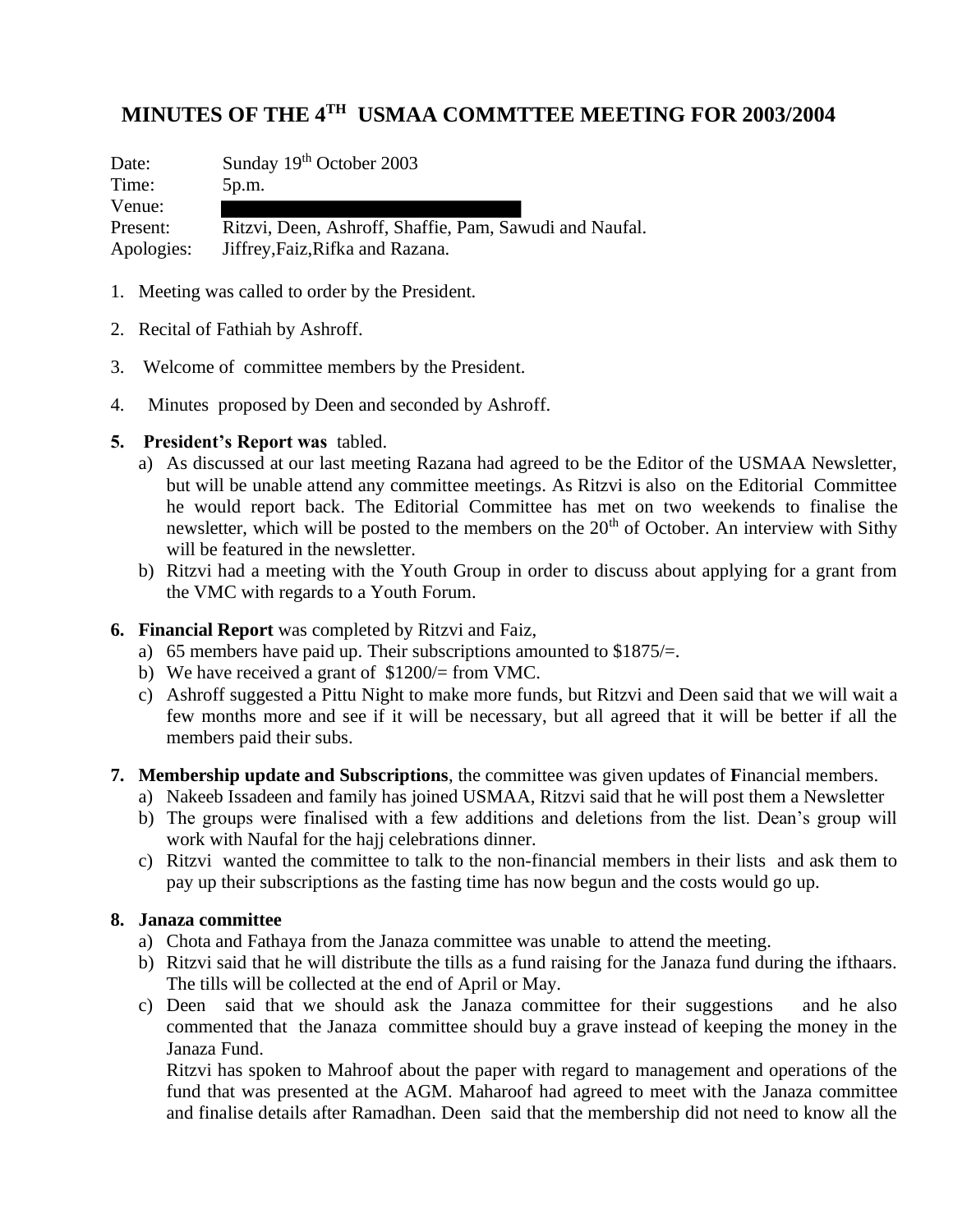## **MINUTES OF THE 4TH USMAA COMMTTEE MEETING FOR 2003/2004**

Date: Sunday 19th October 2003 Time: 5p.m. Venue: Present: Ritzvi, Deen, Ashroff, Shaffie, Pam, Sawudi and Naufal. Apologies: Jiffrey,Faiz,Rifka and Razana.

- 1. Meeting was called to order by the President.
- 2. Recital of Fathiah by Ashroff.
- 3. Welcome of committee members by the President.
- 4. Minutes proposed by Deen and seconded by Ashroff.

#### **5. President's Report was** tabled.

- a) As discussed at our last meeting Razana had agreed to be the Editor of the USMAA Newsletter, but will be unable attend any committee meetings. As Ritzvi is also on the Editorial Committee he would report back. The Editorial Committee has met on two weekends to finalise the newsletter, which will be posted to the members on the  $20<sup>th</sup>$  of October. An interview with Sithy will be featured in the newsletter.
- b) Ritzvi had a meeting with the Youth Group in order to discuss about applying for a grant from the VMC with regards to a Youth Forum.

## **6. Financial Report** was completed by Ritzvi and Faiz,

- a) 65 members have paid up. Their subscriptions amounted to \$1875/=.
- b) We have received a grant of \$1200/= from VMC.
- c) Ashroff suggested a Pittu Night to make more funds, but Ritzvi and Deen said that we will wait a few months more and see if it will be necessary, but all agreed that it will be better if all the members paid their subs.

## **7. Membership update and Subscriptions**, the committee was given updates of **F**inancial members.

- a) Nakeeb Issadeen and family has joined USMAA, Ritzvi said that he will post them a Newsletter
- b) The groups were finalised with a few additions and deletions from the list. Dean's group will work with Naufal for the hajj celebrations dinner.
- c) Ritzvi wanted the committee to talk to the non-financial members in their lists and ask them to pay up their subscriptions as the fasting time has now begun and the costs would go up.

## **8. Janaza committee**

- a) Chota and Fathaya from the Janaza committee was unable to attend the meeting.
- b) Ritzvi said that he will distribute the tills as a fund raising for the Janaza fund during the ifthaars. The tills will be collected at the end of April or May.
- c) Deen said that we should ask the Janaza committee for their suggestions and he also commented that the Janaza committee should buy a grave instead of keeping the money in the Janaza Fund.

Ritzvi has spoken to Mahroof about the paper with regard to management and operations of the fund that was presented at the AGM. Maharoof had agreed to meet with the Janaza committee and finalise details after Ramadhan. Deen said that the membership did not need to know all the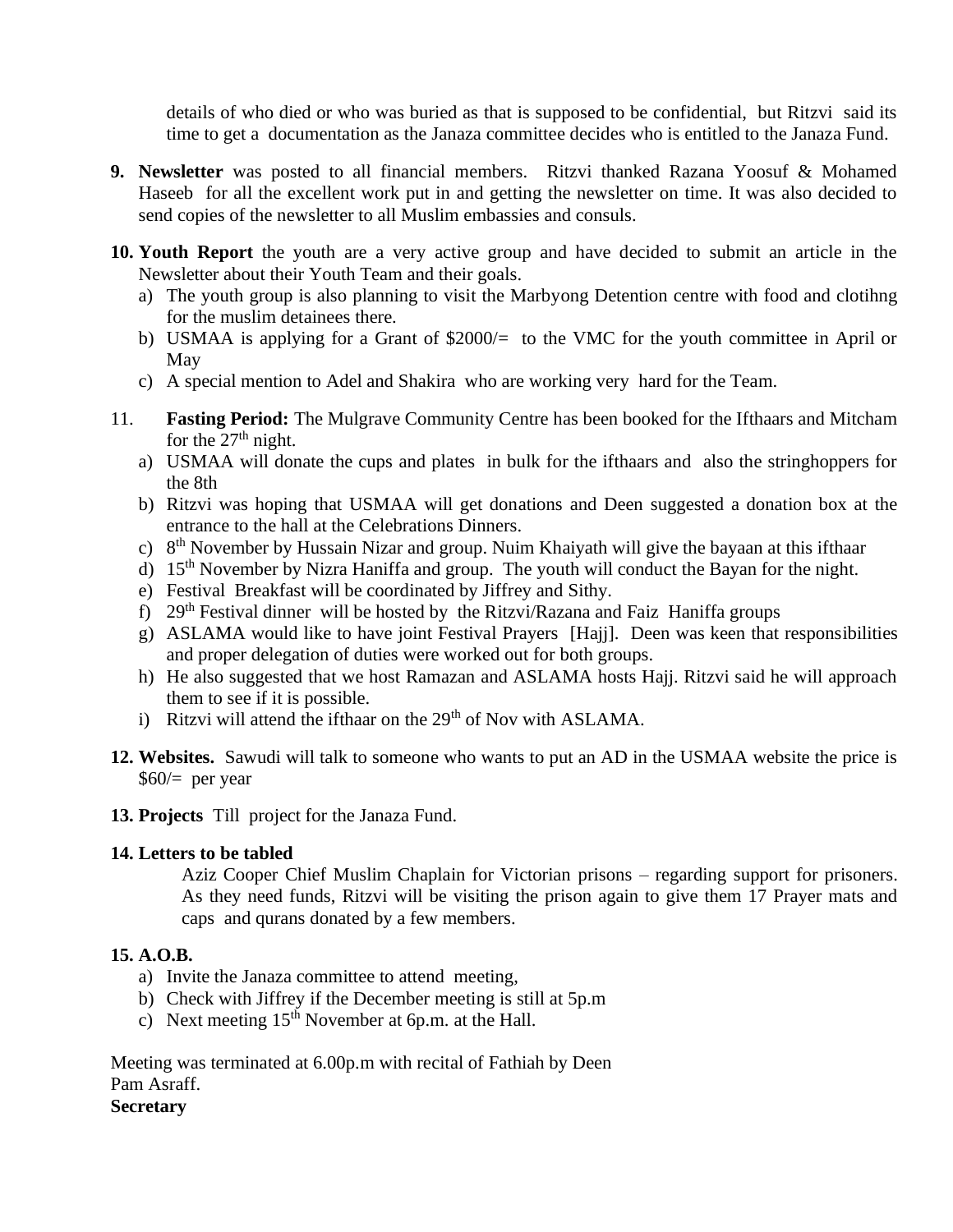details of who died or who was buried as that is supposed to be confidential, but Ritzvi said its time to get a documentation as the Janaza committee decides who is entitled to the Janaza Fund.

- **9. Newsletter** was posted to all financial members. Ritzvi thanked Razana Yoosuf & Mohamed Haseeb for all the excellent work put in and getting the newsletter on time. It was also decided to send copies of the newsletter to all Muslim embassies and consuls.
- **10. Youth Report** the youth are a very active group and have decided to submit an article in the Newsletter about their Youth Team and their goals.
	- a) The youth group is also planning to visit the Marbyong Detention centre with food and clotihng for the muslim detainees there.
	- b) USMAA is applying for a Grant of \$2000/= to the VMC for the youth committee in April or May
	- c) A special mention to Adel and Shakira who are working very hard for the Team.
- 11. **Fasting Period:** The Mulgrave Community Centre has been booked for the Ifthaars and Mitcham for the  $27<sup>th</sup>$  night.
	- a) USMAA will donate the cups and plates in bulk for the ifthaars and also the stringhoppers for the 8th
	- b) Ritzvi was hoping that USMAA will get donations and Deen suggested a donation box at the entrance to the hall at the Celebrations Dinners.
	- c) 8<sup>th</sup> November by Hussain Nizar and group. Nuim Khaiyath will give the bayaan at this ifthaar
	- d) 15th November by Nizra Haniffa and group. The youth will conduct the Bayan for the night.
	- e) Festival Breakfast will be coordinated by Jiffrey and Sithy.
	- f) 29th Festival dinner will be hosted by the Ritzvi/Razana and Faiz Haniffa groups
	- g) ASLAMA would like to have joint Festival Prayers [Hajj]. Deen was keen that responsibilities and proper delegation of duties were worked out for both groups.
	- h) He also suggested that we host Ramazan and ASLAMA hosts Hajj. Ritzvi said he will approach them to see if it is possible.
	- i) Ritzvi will attend the ifthaar on the  $29<sup>th</sup>$  of Nov with ASLAMA.
- **12. Websites.** Sawudi will talk to someone who wants to put an AD in the USMAA website the price is \$60/= per year
- **13. Projects** Till project for the Janaza Fund.

## **14. Letters to be tabled**

Aziz Cooper Chief Muslim Chaplain for Victorian prisons – regarding support for prisoners. As they need funds, Ritzvi will be visiting the prison again to give them 17 Prayer mats and caps and qurans donated by a few members.

## **15. A.O.B.**

- a) Invite the Janaza committee to attend meeting,
- b) Check with Jiffrey if the December meeting is still at 5p.m
- c) Next meeting  $15<sup>th</sup>$  November at 6p.m. at the Hall.

Meeting was terminated at 6.00p.m with recital of Fathiah by Deen Pam Asraff. **Secretary**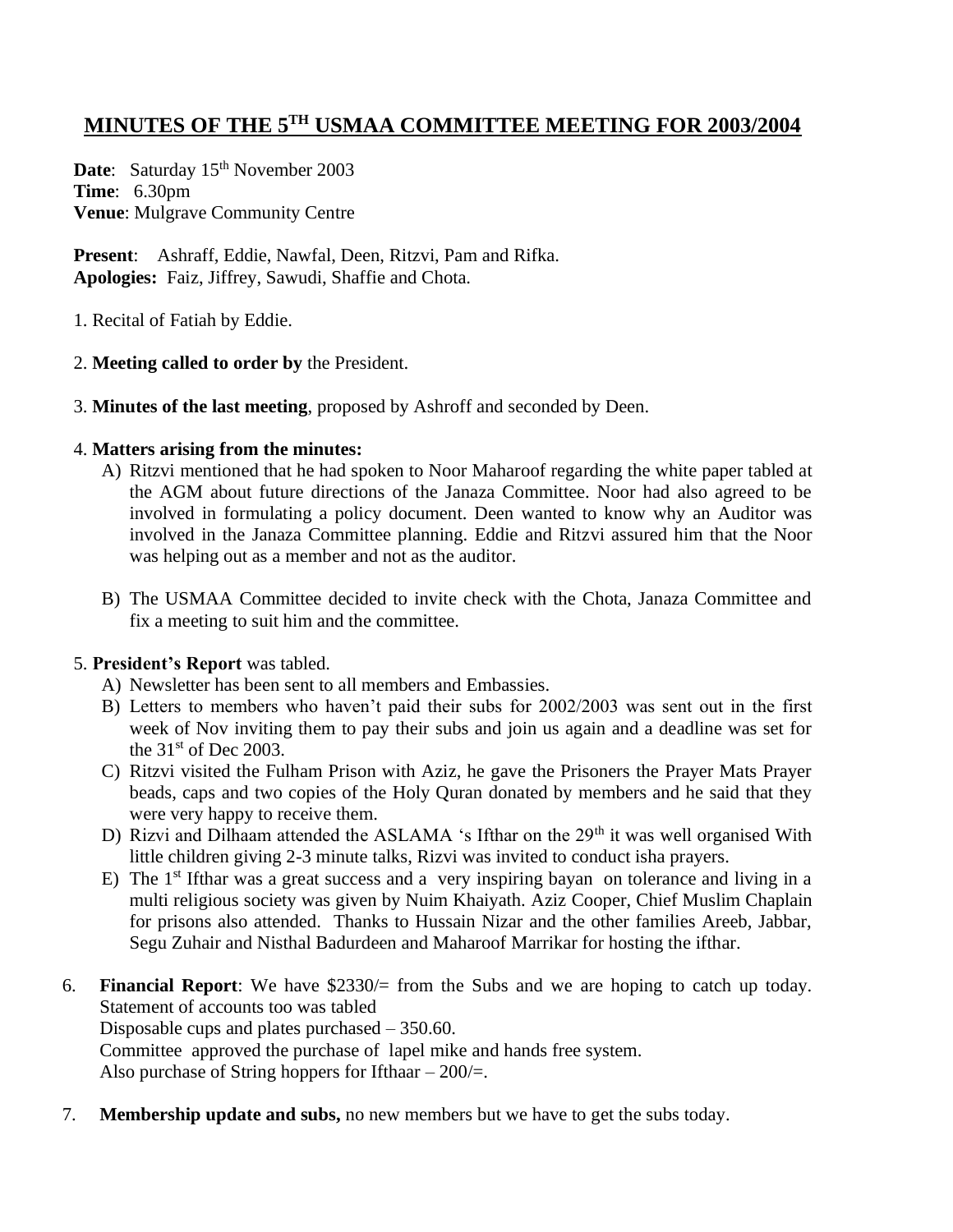## **MINUTES OF THE 5TH USMAA COMMITTEE MEETING FOR 2003/2004**

Date: Saturday 15<sup>th</sup> November 2003 **Time**: 6.30pm **Venue**: Mulgrave Community Centre

**Present**: Ashraff, Eddie, Nawfal, Deen, Ritzvi, Pam and Rifka. **Apologies:** Faiz, Jiffrey, Sawudi, Shaffie and Chota.

1. Recital of Fatiah by Eddie.

## 2. **Meeting called to order by** the President.

3. **Minutes of the last meeting**, proposed by Ashroff and seconded by Deen.

## 4. **Matters arising from the minutes:**

- A) Ritzvi mentioned that he had spoken to Noor Maharoof regarding the white paper tabled at the AGM about future directions of the Janaza Committee. Noor had also agreed to be involved in formulating a policy document. Deen wanted to know why an Auditor was involved in the Janaza Committee planning. Eddie and Ritzvi assured him that the Noor was helping out as a member and not as the auditor.
- B) The USMAA Committee decided to invite check with the Chota, Janaza Committee and fix a meeting to suit him and the committee.

## 5. **President's Report** was tabled.

- A) Newsletter has been sent to all members and Embassies.
- B) Letters to members who haven't paid their subs for 2002/2003 was sent out in the first week of Nov inviting them to pay their subs and join us again and a deadline was set for the  $31<sup>st</sup>$  of Dec 2003.
- C) Ritzvi visited the Fulham Prison with Aziz, he gave the Prisoners the Prayer Mats Prayer beads, caps and two copies of the Holy Quran donated by members and he said that they were very happy to receive them.
- D) Rizvi and Dilhaam attended the ASLAMA 's Ifthar on the 29<sup>th</sup> it was well organised With little children giving 2-3 minute talks, Rizvi was invited to conduct isha prayers.
- E) The  $1<sup>st</sup>$  Ifthar was a great success and a very inspiring bayan on tolerance and living in a multi religious society was given by Nuim Khaiyath. Aziz Cooper, Chief Muslim Chaplain for prisons also attended. Thanks to Hussain Nizar and the other families Areeb, Jabbar, Segu Zuhair and Nisthal Badurdeen and Maharoof Marrikar for hosting the ifthar.
- 6. **Financial Report**: We have \$2330/= from the Subs and we are hoping to catch up today. Statement of accounts too was tabled

Disposable cups and plates purchased – 350.60.

Committee approved the purchase of lapel mike and hands free system.

Also purchase of String hoppers for Ifthaar  $-200/=$ .

7. **Membership update and subs,** no new members but we have to get the subs today.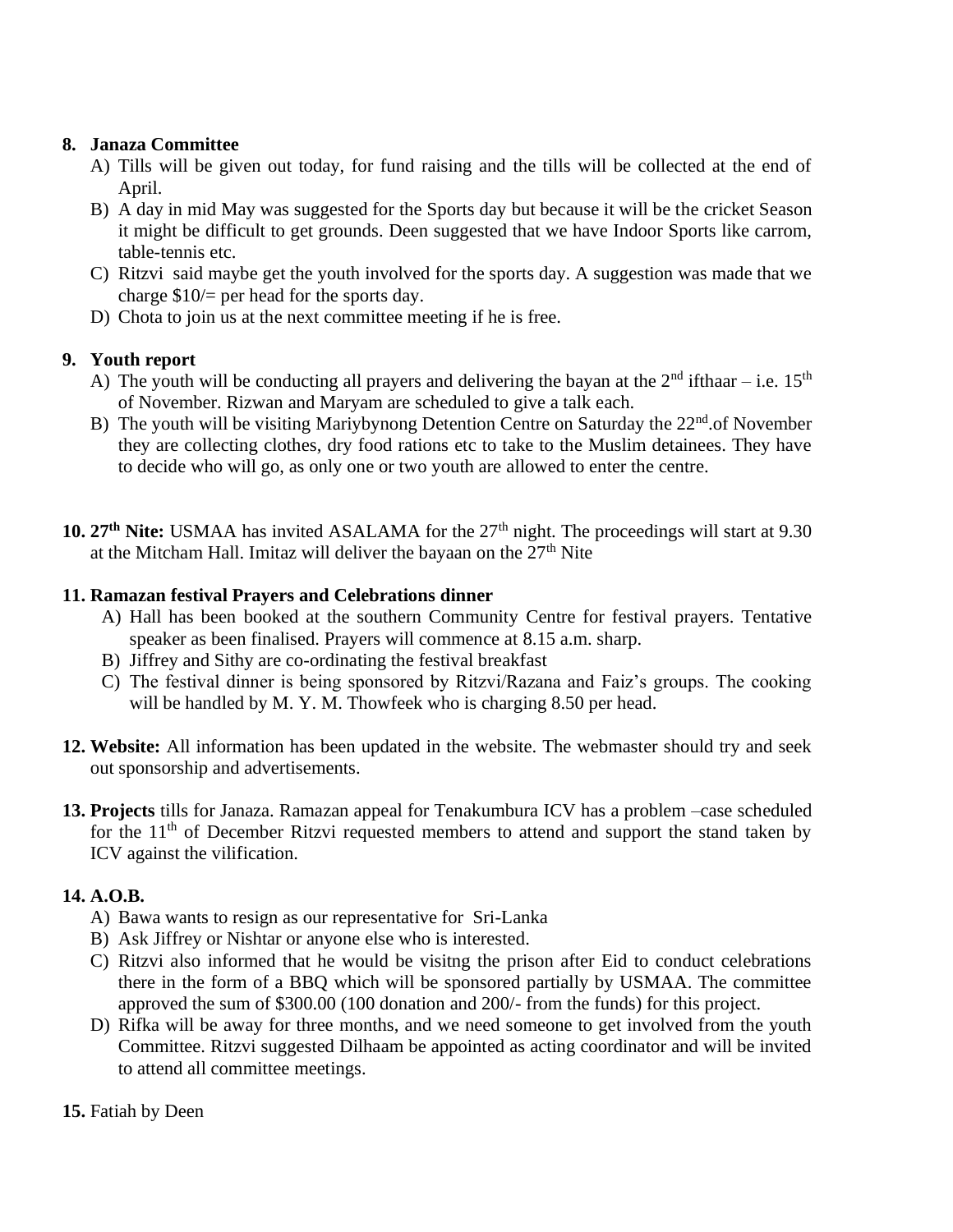## **8. Janaza Committee**

- A) Tills will be given out today, for fund raising and the tills will be collected at the end of April.
- B) A day in mid May was suggested for the Sports day but because it will be the cricket Season it might be difficult to get grounds. Deen suggested that we have Indoor Sports like carrom, table-tennis etc.
- C) Ritzvi said maybe get the youth involved for the sports day. A suggestion was made that we charge \$10/= per head for the sports day.
- D) Chota to join us at the next committee meeting if he is free.

## **9. Youth report**

- A) The youth will be conducting all prayers and delivering the bayan at the  $2<sup>nd</sup>$  ifthaar i.e. 15<sup>th</sup> of November. Rizwan and Maryam are scheduled to give a talk each.
- B) The youth will be visiting Mariybynong Detention Centre on Saturday the  $22<sup>nd</sup>$  of November they are collecting clothes, dry food rations etc to take to the Muslim detainees. They have to decide who will go, as only one or two youth are allowed to enter the centre.
- 10. 27<sup>th</sup> Nite: USMAA has invited ASALAMA for the 27<sup>th</sup> night. The proceedings will start at 9.30 at the Mitcham Hall. Imitaz will deliver the bayaan on the  $27<sup>th</sup>$  Nite

## **11. Ramazan festival Prayers and Celebrations dinner**

- A) Hall has been booked at the southern Community Centre for festival prayers. Tentative speaker as been finalised. Prayers will commence at 8.15 a.m. sharp.
- B) Jiffrey and Sithy are co-ordinating the festival breakfast
- C) The festival dinner is being sponsored by Ritzvi/Razana and Faiz's groups. The cooking will be handled by M. Y. M. Thowfeek who is charging 8.50 per head.
- **12. Website:** All information has been updated in the website. The webmaster should try and seek out sponsorship and advertisements.
- **13. Projects** tills for Janaza. Ramazan appeal for Tenakumbura ICV has a problem –case scheduled for the  $11<sup>th</sup>$  of December Ritzvi requested members to attend and support the stand taken by ICV against the vilification.

## **14. A.O.B.**

- A) Bawa wants to resign as our representative for Sri-Lanka
- B) Ask Jiffrey or Nishtar or anyone else who is interested.
- C) Ritzvi also informed that he would be visitng the prison after Eid to conduct celebrations there in the form of a BBQ which will be sponsored partially by USMAA. The committee approved the sum of \$300.00 (100 donation and 200/- from the funds) for this project.
- D) Rifka will be away for three months, and we need someone to get involved from the youth Committee. Ritzvi suggested Dilhaam be appointed as acting coordinator and will be invited to attend all committee meetings.
- **15.** Fatiah by Deen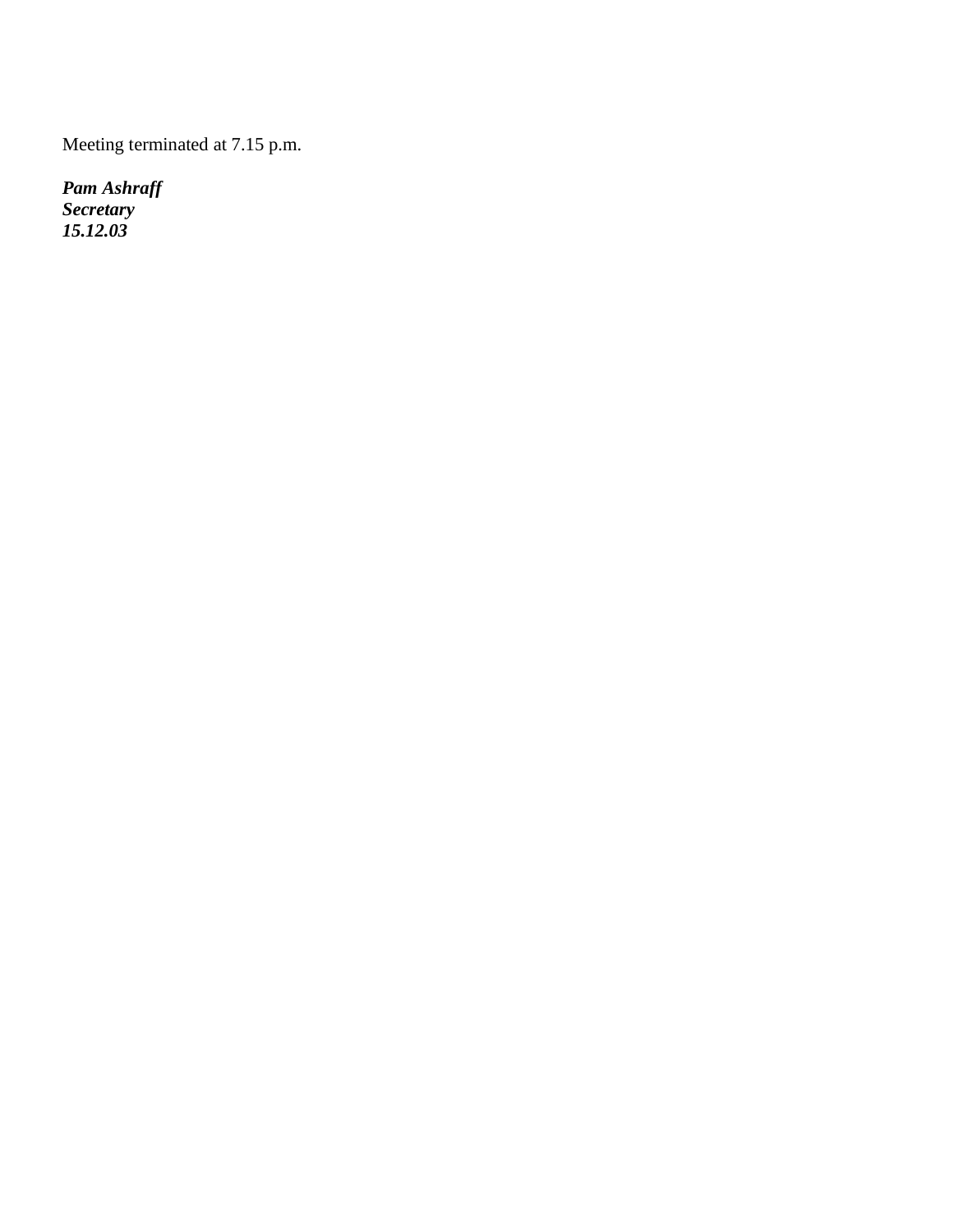Meeting terminated at 7.15 p.m.

*Pam Ashraff Secretary 15.12.03*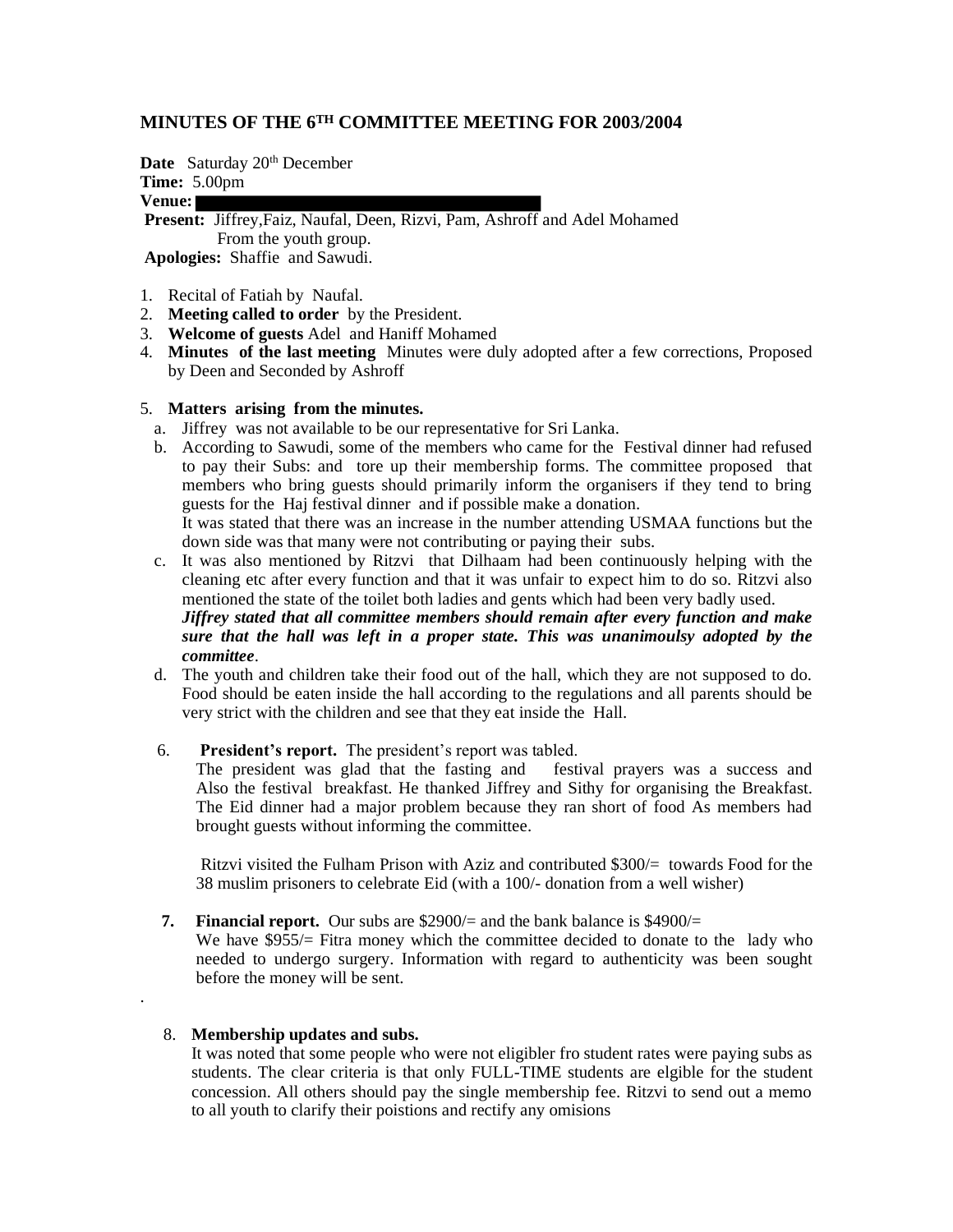#### **MINUTES OF THE 6TH COMMITTEE MEETING FOR 2003/2004**

Date Saturday 20<sup>th</sup> December

**Time:** 5.00pm

## **Venue:**

**Present:** Jiffrey,Faiz, Naufal, Deen, Rizvi, Pam, Ashroff and Adel Mohamed From the youth group.

**Apologies:** Shaffie and Sawudi.

- 1. Recital of Fatiah by Naufal.
- 2. **Meeting called to order** by the President.
- 3. **Welcome of guests** Adel and Haniff Mohamed
- 4. **Minutes of the last meeting** Minutes were duly adopted after a few corrections, Proposed by Deen and Seconded by Ashroff

#### 5. **Matters arising from the minutes.**

- a. Jiffrey was not available to be our representative for Sri Lanka.
- b. According to Sawudi, some of the members who came for the Festival dinner had refused to pay their Subs: and tore up their membership forms. The committee proposed that members who bring guests should primarily inform the organisers if they tend to bring guests for the Haj festival dinner and if possible make a donation. It was stated that there was an increase in the number attending USMAA functions but the

down side was that many were not contributing or paying their subs.

- c. It was also mentioned by Ritzvi that Dilhaam had been continuously helping with the cleaning etc after every function and that it was unfair to expect him to do so. Ritzvi also mentioned the state of the toilet both ladies and gents which had been very badly used. *Jiffrey stated that all committee members should remain after every function and make sure that the hall was left in a proper state. This was unanimoulsy adopted by the committee*.
- d. The youth and children take their food out of the hall, which they are not supposed to do. Food should be eaten inside the hall according to the regulations and all parents should be very strict with the children and see that they eat inside the Hall.
- 

6. **President's report.** The president's report was tabled.<br>The president was glad that the fasting and festival prayers was a success and The president was glad that the fasting and Also the festival breakfast. He thanked Jiffrey and Sithy for organising the Breakfast. The Eid dinner had a major problem because they ran short of food As members had brought guests without informing the committee.

Ritzvi visited the Fulham Prison with Aziz and contributed \$300/= towards Food for the 38 muslim prisoners to celebrate Eid (with a 100/- donation from a well wisher)

 **7. Financial report.** Our subs are \$2900/= and the bank balance is \$4900/=

We have \$955/= Fitra money which the committee decided to donate to the lady who needed to undergo surgery. Information with regard to authenticity was been sought before the money will be sent.

#### 8. **Membership updates and subs.**

.

It was noted that some people who were not eligibler fro student rates were paying subs as students. The clear criteria is that only FULL-TIME students are elgible for the student concession. All others should pay the single membership fee. Ritzvi to send out a memo to all youth to clarify their poistions and rectify any omisions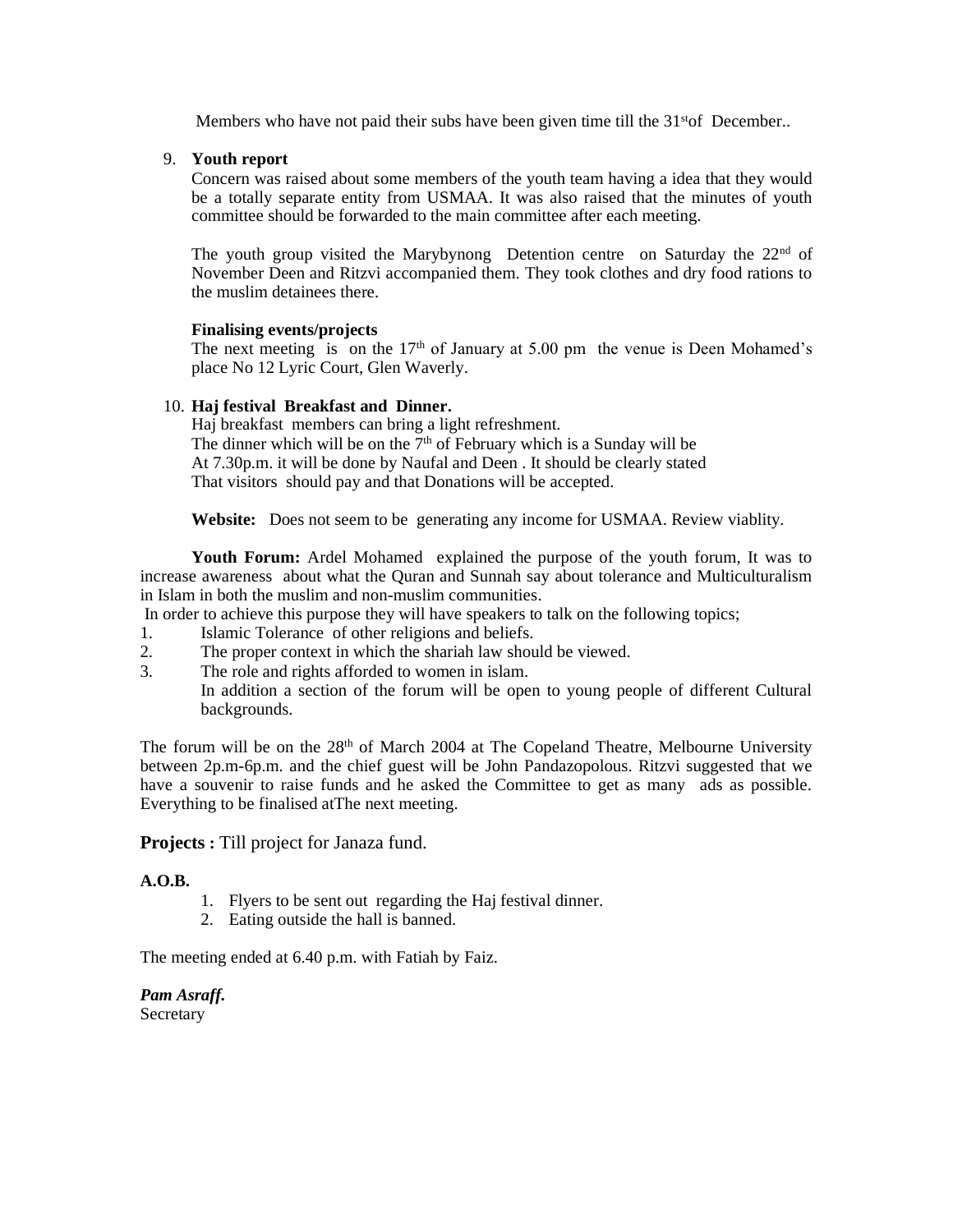Members who have not paid their subs have been given time till the  $31<sup>st</sup>$  December..

9. **Youth report**

Concern was raised about some members of the youth team having a idea that they would be a totally separate entity from USMAA. It was also raised that the minutes of youth committee should be forwarded to the main committee after each meeting.

The youth group visited the Marybynong Detention centre on Saturday the  $22<sup>nd</sup>$  of November Deen and Ritzvi accompanied them. They took clothes and dry food rations to the muslim detainees there.

#### **Finalising events/projects**

The next meeting is on the  $17<sup>th</sup>$  of January at 5.00 pm the venue is Deen Mohamed's place No 12 Lyric Court, Glen Waverly.

#### 10. **Haj festival Breakfast and Dinner.**

Haj breakfast members can bring a light refreshment. The dinner which will be on the  $7<sup>th</sup>$  of February which is a Sunday will be At 7.30p.m. it will be done by Naufal and Deen . It should be clearly stated That visitors should pay and that Donations will be accepted.

**Website:** Does not seem to be generating any income for USMAA. Review viablity.

 **Youth Forum:** Ardel Mohamed explained the purpose of the youth forum, It was to increase awareness about what the Quran and Sunnah say about tolerance and Multiculturalism in Islam in both the muslim and non-muslim communities.

In order to achieve this purpose they will have speakers to talk on the following topics;

- 1. Islamic Tolerance of other religions and beliefs.
- 2. The proper context in which the shariah law should be viewed.
- 3. The role and rights afforded to women in islam.

In addition a section of the forum will be open to young people of different Cultural backgrounds.

The forum will be on the 28<sup>th</sup> of March 2004 at The Copeland Theatre, Melbourne University between 2p.m-6p.m. and the chief guest will be John Pandazopolous. Ritzvi suggested that we have a souvenir to raise funds and he asked the Committee to get as many ads as possible. Everything to be finalised atThe next meeting.

**Projects :** Till project for Janaza fund.

#### **A.O.B.**

- 1. Flyers to be sent out regarding the Haj festival dinner.
- 2. Eating outside the hall is banned.

The meeting ended at 6.40 p.m. with Fatiah by Faiz.

*Pam Asraff.*  **Secretary**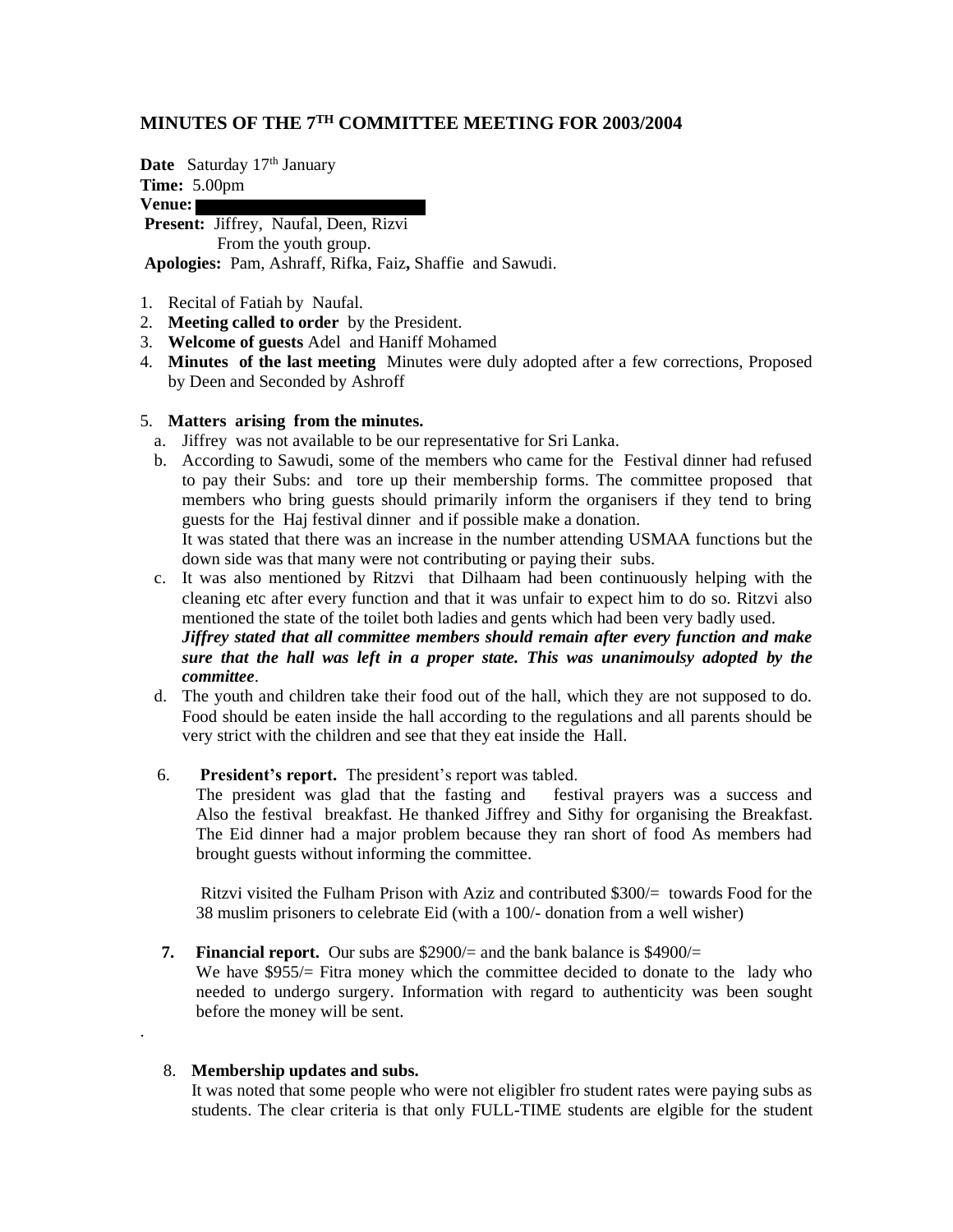## **MINUTES OF THE 7TH COMMITTEE MEETING FOR 2003/2004**

**Date** Saturday 17<sup>th</sup> January

**Time:** 5.00pm

**Venue:**

**Present:** Jiffrey, Naufal, Deen, Rizvi From the youth group. **Apologies:** Pam, Ashraff, Rifka, Faiz**,** Shaffie and Sawudi.

- 1. Recital of Fatiah by Naufal.
- 2. **Meeting called to order** by the President.
- 3. **Welcome of guests** Adel and Haniff Mohamed
- 4. **Minutes of the last meeting** Minutes were duly adopted after a few corrections, Proposed by Deen and Seconded by Ashroff

#### 5. **Matters arising from the minutes.**

- a. Jiffrey was not available to be our representative for Sri Lanka.
- b. According to Sawudi, some of the members who came for the Festival dinner had refused to pay their Subs: and tore up their membership forms. The committee proposed that members who bring guests should primarily inform the organisers if they tend to bring guests for the Haj festival dinner and if possible make a donation. It was stated that there was an increase in the number attending USMAA functions but the down side was that many were not contributing or paying their subs.
- c. It was also mentioned by Ritzvi that Dilhaam had been continuously helping with the cleaning etc after every function and that it was unfair to expect him to do so. Ritzvi also mentioned the state of the toilet both ladies and gents which had been very badly used. *Jiffrey stated that all committee members should remain after every function and make*

*sure that the hall was left in a proper state. This was unanimoulsy adopted by the committee*.

- d. The youth and children take their food out of the hall, which they are not supposed to do. Food should be eaten inside the hall according to the regulations and all parents should be very strict with the children and see that they eat inside the Hall.
- 6. **President's report.** The president's report was tabled.

The president was glad that the fasting and festival prayers was a success and Also the festival breakfast. He thanked Jiffrey and Sithy for organising the Breakfast. The Eid dinner had a major problem because they ran short of food As members had brought guests without informing the committee.

Ritzvi visited the Fulham Prison with Aziz and contributed \$300/= towards Food for the 38 muslim prisoners to celebrate Eid (with a 100/- donation from a well wisher)

## **7. Financial report.** Our subs are \$2900/= and the bank balance is \$4900/=

We have  $$955/=$  Fitra money which the committee decided to donate to the lady who needed to undergo surgery. Information with regard to authenticity was been sought before the money will be sent.

#### 8. **Membership updates and subs.**

.

It was noted that some people who were not eligibler fro student rates were paying subs as students. The clear criteria is that only FULL-TIME students are elgible for the student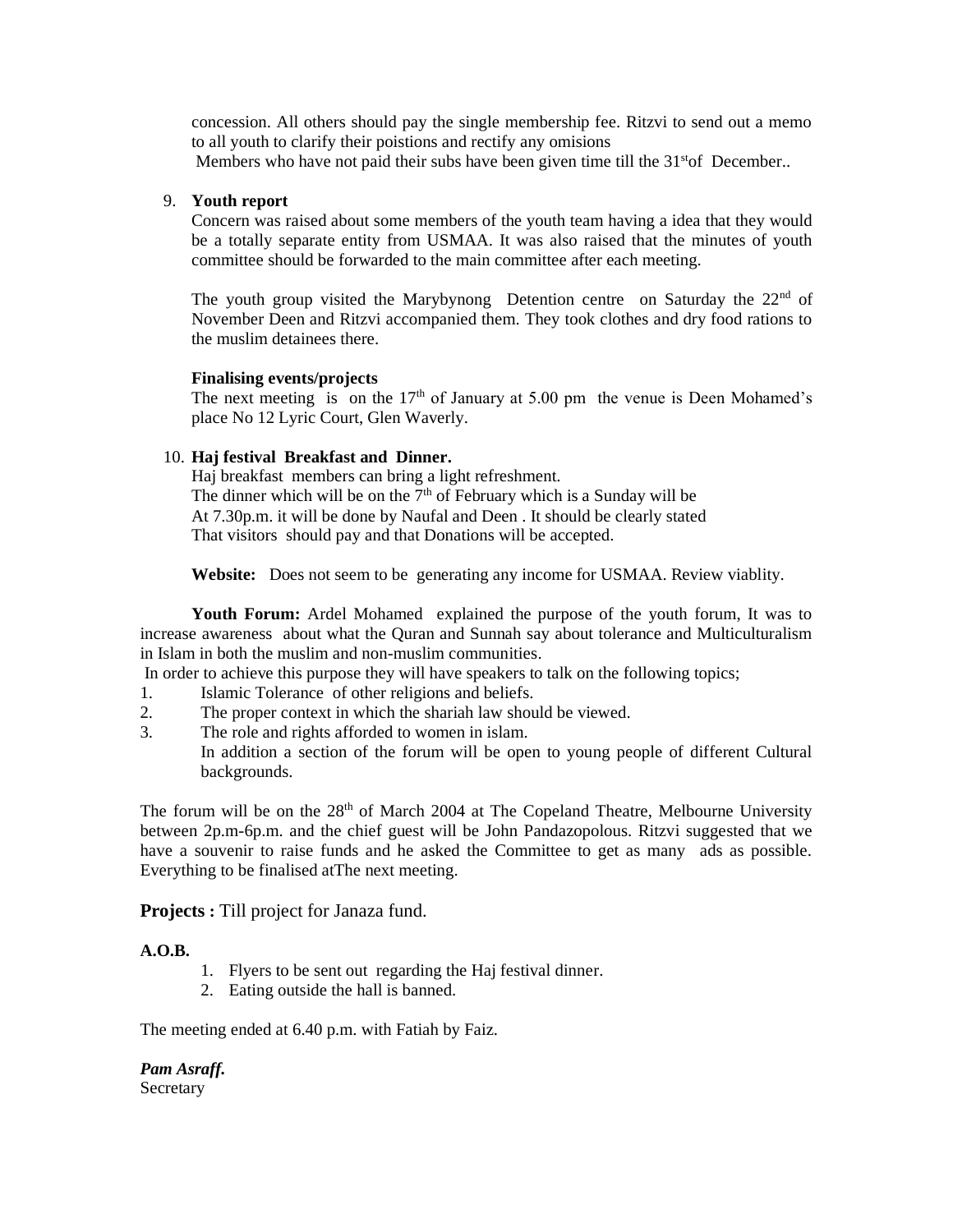concession. All others should pay the single membership fee. Ritzvi to send out a memo to all youth to clarify their poistions and rectify any omisions Members who have not paid their subs have been given time till the  $31<sup>st</sup>$ of December..

#### 9. **Youth report**

Concern was raised about some members of the youth team having a idea that they would be a totally separate entity from USMAA. It was also raised that the minutes of youth committee should be forwarded to the main committee after each meeting.

The youth group visited the Marybynong Detention centre on Saturday the  $22<sup>nd</sup>$  of November Deen and Ritzvi accompanied them. They took clothes and dry food rations to the muslim detainees there.

#### **Finalising events/projects**

The next meeting is on the  $17<sup>th</sup>$  of January at 5.00 pm the venue is Deen Mohamed's place No 12 Lyric Court, Glen Waverly.

#### 10. **Haj festival Breakfast and Dinner.**

Haj breakfast members can bring a light refreshment. The dinner which will be on the  $7<sup>th</sup>$  of February which is a Sunday will be At 7.30p.m. it will be done by Naufal and Deen . It should be clearly stated That visitors should pay and that Donations will be accepted.

**Website:** Does not seem to be generating any income for USMAA. Review viablity.

 **Youth Forum:** Ardel Mohamed explained the purpose of the youth forum, It was to increase awareness about what the Quran and Sunnah say about tolerance and Multiculturalism in Islam in both the muslim and non-muslim communities.

In order to achieve this purpose they will have speakers to talk on the following topics;

- 1. Islamic Tolerance of other religions and beliefs.
- 2. The proper context in which the shariah law should be viewed.
- 3. The role and rights afforded to women in islam. In addition a section of the forum will be open to young people of different Cultural backgrounds.

The forum will be on the  $28<sup>th</sup>$  of March 2004 at The Copeland Theatre, Melbourne University between 2p.m-6p.m. and the chief guest will be John Pandazopolous. Ritzvi suggested that we have a souvenir to raise funds and he asked the Committee to get as many ads as possible. Everything to be finalised atThe next meeting.

#### **Projects :** Till project for Janaza fund.

#### **A.O.B.**

- 1. Flyers to be sent out regarding the Haj festival dinner.
- 2. Eating outside the hall is banned.

The meeting ended at 6.40 p.m. with Fatiah by Faiz.

*Pam Asraff.*  **Secretary**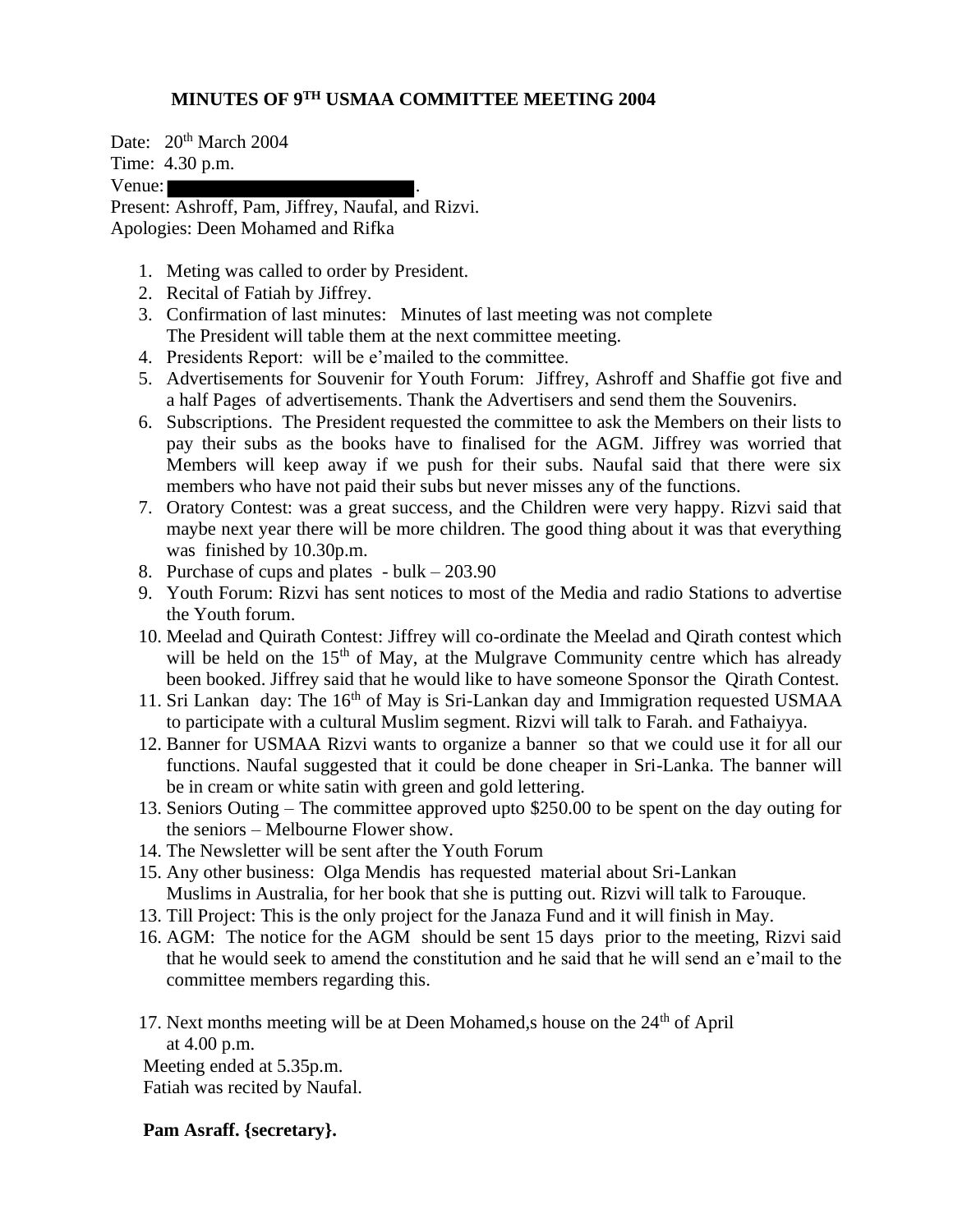## **MINUTES OF 9TH USMAA COMMITTEE MEETING 2004**

Date: 20<sup>th</sup> March 2004

Time: 4.30 p.m.

Venue:

Present: Ashroff, Pam, Jiffrey, Naufal, and Rizvi. Apologies: Deen Mohamed and Rifka

- 1. Meting was called to order by President.
- 2. Recital of Fatiah by Jiffrey.
- 3. Confirmation of last minutes: Minutes of last meeting was not complete The President will table them at the next committee meeting.
- 4. Presidents Report: will be e'mailed to the committee.
- 5. Advertisements for Souvenir for Youth Forum: Jiffrey, Ashroff and Shaffie got five and a half Pages of advertisements. Thank the Advertisers and send them the Souvenirs.
- 6. Subscriptions. The President requested the committee to ask the Members on their lists to pay their subs as the books have to finalised for the AGM. Jiffrey was worried that Members will keep away if we push for their subs. Naufal said that there were six members who have not paid their subs but never misses any of the functions.
- 7. Oratory Contest: was a great success, and the Children were very happy. Rizvi said that maybe next year there will be more children. The good thing about it was that everything was finished by 10.30p.m.
- 8. Purchase of cups and plates bulk 203.90
- 9. Youth Forum: Rizvi has sent notices to most of the Media and radio Stations to advertise the Youth forum.
- 10. Meelad and Quirath Contest: Jiffrey will co-ordinate the Meelad and Qirath contest which will be held on the  $15<sup>th</sup>$  of May, at the Mulgrave Community centre which has already been booked. Jiffrey said that he would like to have someone Sponsor the Qirath Contest.
- 11. Sri Lankan day: The 16<sup>th</sup> of May is Sri-Lankan day and Immigration requested USMAA to participate with a cultural Muslim segment. Rizvi will talk to Farah. and Fathaiyya.
- 12. Banner for USMAA Rizvi wants to organize a banner so that we could use it for all our functions. Naufal suggested that it could be done cheaper in Sri-Lanka. The banner will be in cream or white satin with green and gold lettering.
- 13. Seniors Outing The committee approved upto \$250.00 to be spent on the day outing for the seniors – Melbourne Flower show.
- 14. The Newsletter will be sent after the Youth Forum
- 15. Any other business: Olga Mendis has requested material about Sri-Lankan Muslims in Australia, for her book that she is putting out. Rizvi will talk to Farouque.
- 13. Till Project: This is the only project for the Janaza Fund and it will finish in May.
- 16. AGM: The notice for the AGM should be sent 15 days prior to the meeting, Rizvi said that he would seek to amend the constitution and he said that he will send an e'mail to the committee members regarding this.
- 17. Next months meeting will be at Deen Mohamed, shouse on the  $24<sup>th</sup>$  of April at 4.00 p.m. Meeting ended at 5.35p.m.

Fatiah was recited by Naufal.

## **Pam Asraff. {secretary}.**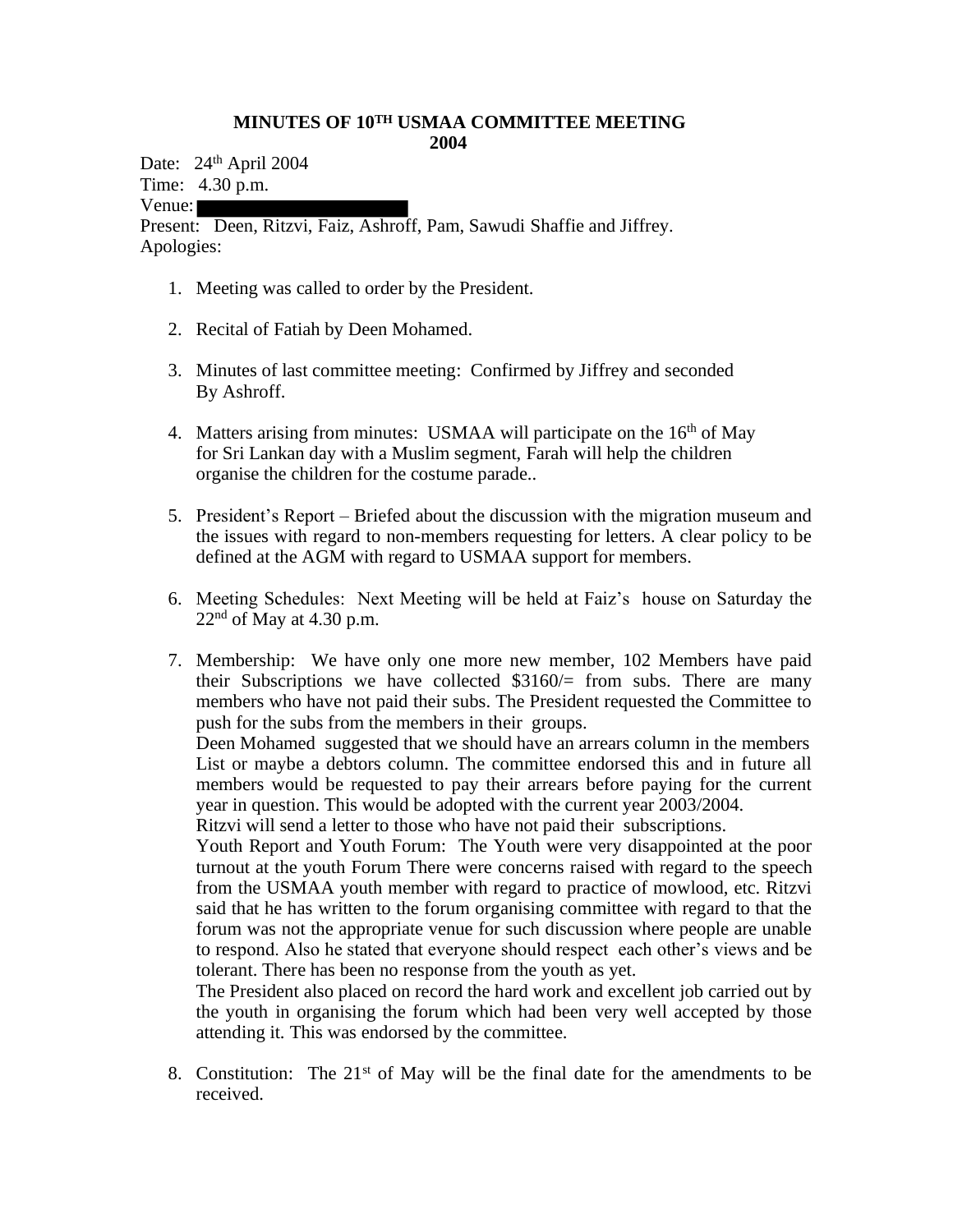## **MINUTES OF 10TH USMAA COMMITTEE MEETING 2004**

Date: 24<sup>th</sup> April 2004 Time: 4.30 p.m.

Venue:

Present: Deen, Ritzvi, Faiz, Ashroff, Pam, Sawudi Shaffie and Jiffrey. Apologies:

- 1. Meeting was called to order by the President.
- 2. Recital of Fatiah by Deen Mohamed.
- 3. Minutes of last committee meeting: Confirmed by Jiffrey and seconded By Ashroff.
- 4. Matters arising from minutes: USMAA will participate on the 16<sup>th</sup> of May for Sri Lankan day with a Muslim segment, Farah will help the children organise the children for the costume parade..
- 5. President's Report Briefed about the discussion with the migration museum and the issues with regard to non-members requesting for letters. A clear policy to be defined at the AGM with regard to USMAA support for members.
- 6. Meeting Schedules: Next Meeting will be held at Faiz's house on Saturday the  $22<sup>nd</sup>$  of May at 4.30 p.m.
- 7. Membership: We have only one more new member, 102 Members have paid their Subscriptions we have collected  $$3160/$  from subs. There are many members who have not paid their subs. The President requested the Committee to push for the subs from the members in their groups.

Deen Mohamed suggested that we should have an arrears column in the members List or maybe a debtors column. The committee endorsed this and in future all members would be requested to pay their arrears before paying for the current year in question. This would be adopted with the current year 2003/2004.

Ritzvi will send a letter to those who have not paid their subscriptions.

Youth Report and Youth Forum: The Youth were very disappointed at the poor turnout at the youth Forum There were concerns raised with regard to the speech from the USMAA youth member with regard to practice of mowlood, etc. Ritzvi said that he has written to the forum organising committee with regard to that the forum was not the appropriate venue for such discussion where people are unable to respond. Also he stated that everyone should respect each other's views and be tolerant. There has been no response from the youth as yet.

The President also placed on record the hard work and excellent job carried out by the youth in organising the forum which had been very well accepted by those attending it. This was endorsed by the committee.

8. Constitution: The  $21<sup>st</sup>$  of May will be the final date for the amendments to be received.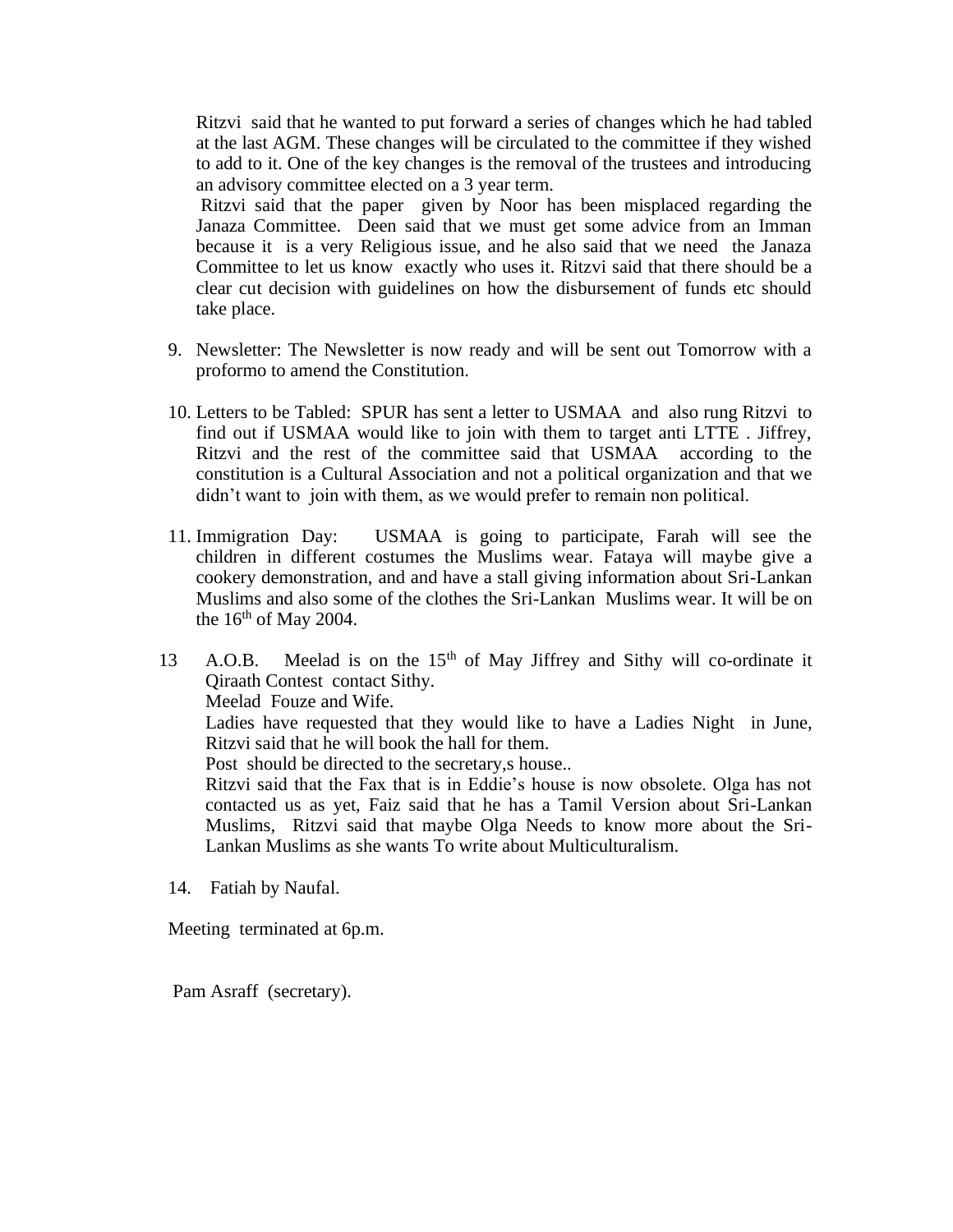Ritzvi said that he wanted to put forward a series of changes which he had tabled at the last AGM. These changes will be circulated to the committee if they wished to add to it. One of the key changes is the removal of the trustees and introducing an advisory committee elected on a 3 year term.

Ritzvi said that the paper given by Noor has been misplaced regarding the Janaza Committee. Deen said that we must get some advice from an Imman because it is a very Religious issue, and he also said that we need the Janaza Committee to let us know exactly who uses it. Ritzvi said that there should be a clear cut decision with guidelines on how the disbursement of funds etc should take place.

- 9. Newsletter: The Newsletter is now ready and will be sent out Tomorrow with a proformo to amend the Constitution.
- 10. Letters to be Tabled: SPUR has sent a letter to USMAA and also rung Ritzvi to find out if USMAA would like to join with them to target anti LTTE . Jiffrey, Ritzvi and the rest of the committee said that USMAA according to the constitution is a Cultural Association and not a political organization and that we didn't want to join with them, as we would prefer to remain non political.
- 11. Immigration Day: USMAA is going to participate, Farah will see the children in different costumes the Muslims wear. Fataya will maybe give a cookery demonstration, and and have a stall giving information about Sri-Lankan Muslims and also some of the clothes the Sri-Lankan Muslims wear. It will be on the  $16<sup>th</sup>$  of May 2004.
- 13 A.O.B. Meelad is on the 15<sup>th</sup> of May Jiffrey and Sithy will co-ordinate it Qiraath Contest contact Sithy. Meelad Fouze and Wife. Ladies have requested that they would like to have a Ladies Night in June, Ritzvi said that he will book the hall for them.

Post should be directed to the secretary,s house..

Ritzvi said that the Fax that is in Eddie's house is now obsolete. Olga has not contacted us as yet, Faiz said that he has a Tamil Version about Sri-Lankan Muslims, Ritzvi said that maybe Olga Needs to know more about the Sri-Lankan Muslims as she wants To write about Multiculturalism.

14. Fatiah by Naufal.

Meeting terminated at 6p.m.

Pam Asraff (secretary).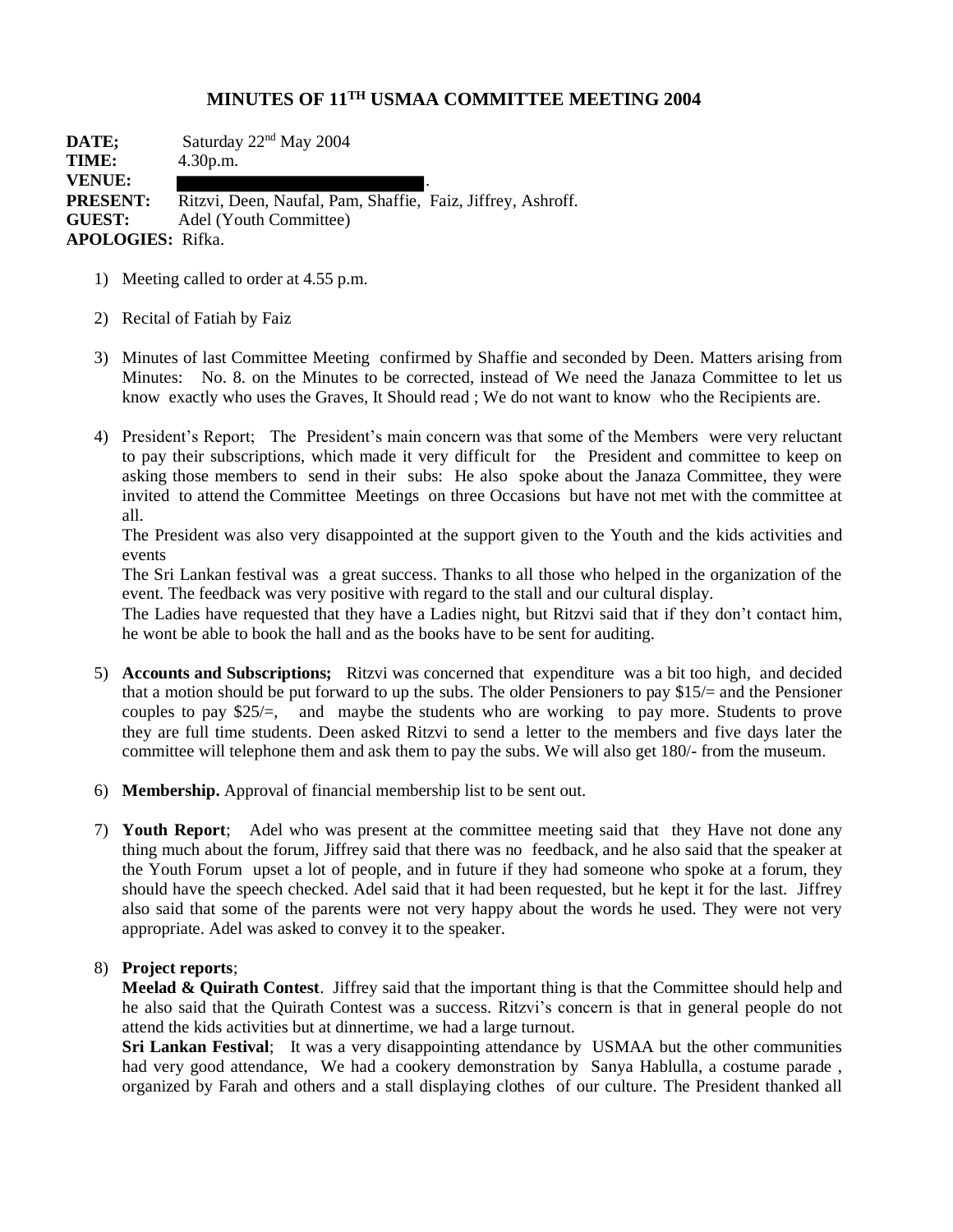## **MINUTES OF 11TH USMAA COMMITTEE MEETING 2004**

**DATE;** Saturday  $22<sup>nd</sup>$  May 2004 **TIME:** 4.30p.m. **VENUE:** . PRESENT: Ritzvi, Deen, Naufal, Pam, Shaffie, Faiz, Jiffrey, Ashroff. **GUEST:** Adel (Youth Committee) **APOLOGIES:** Rifka.

- 1) Meeting called to order at 4.55 p.m.
- 2) Recital of Fatiah by Faiz
- 3) Minutes of last Committee Meeting confirmed by Shaffie and seconded by Deen. Matters arising from Minutes: No. 8. on the Minutes to be corrected, instead of We need the Janaza Committee to let us know exactly who uses the Graves, It Should read ; We do not want to know who the Recipients are.
- 4) President's Report; The President's main concern was that some of the Members were very reluctant to pay their subscriptions, which made it very difficult for the President and committee to keep on asking those members to send in their subs: He also spoke about the Janaza Committee, they were invited to attend the Committee Meetings on three Occasions but have not met with the committee at all.

The President was also very disappointed at the support given to the Youth and the kids activities and events

The Sri Lankan festival was a great success. Thanks to all those who helped in the organization of the event. The feedback was very positive with regard to the stall and our cultural display.

The Ladies have requested that they have a Ladies night, but Ritzvi said that if they don't contact him, he wont be able to book the hall and as the books have to be sent for auditing.

- 5) **Accounts and Subscriptions;** Ritzvi was concerned that expenditure was a bit too high, and decided that a motion should be put forward to up the subs. The older Pensioners to pay \$15/= and the Pensioner couples to pay \$25/=, and maybe the students who are working to pay more. Students to prove they are full time students. Deen asked Ritzvi to send a letter to the members and five days later the committee will telephone them and ask them to pay the subs. We will also get 180/- from the museum.
- 6) **Membership.** Approval of financial membership list to be sent out.
- 7) **Youth Report**; Adel who was present at the committee meeting said that they Have not done any thing much about the forum, Jiffrey said that there was no feedback, and he also said that the speaker at the Youth Forum upset a lot of people, and in future if they had someone who spoke at a forum, they should have the speech checked. Adel said that it had been requested, but he kept it for the last. Jiffrey also said that some of the parents were not very happy about the words he used. They were not very appropriate. Adel was asked to convey it to the speaker.

#### 8) **Project reports**;

**Meelad & Quirath Contest**. Jiffrey said that the important thing is that the Committee should help and he also said that the Quirath Contest was a success. Ritzvi's concern is that in general people do not attend the kids activities but at dinnertime, we had a large turnout.

**Sri Lankan Festival**; It was a very disappointing attendance by USMAA but the other communities had very good attendance, We had a cookery demonstration by Sanya Hablulla, a costume parade , organized by Farah and others and a stall displaying clothes of our culture. The President thanked all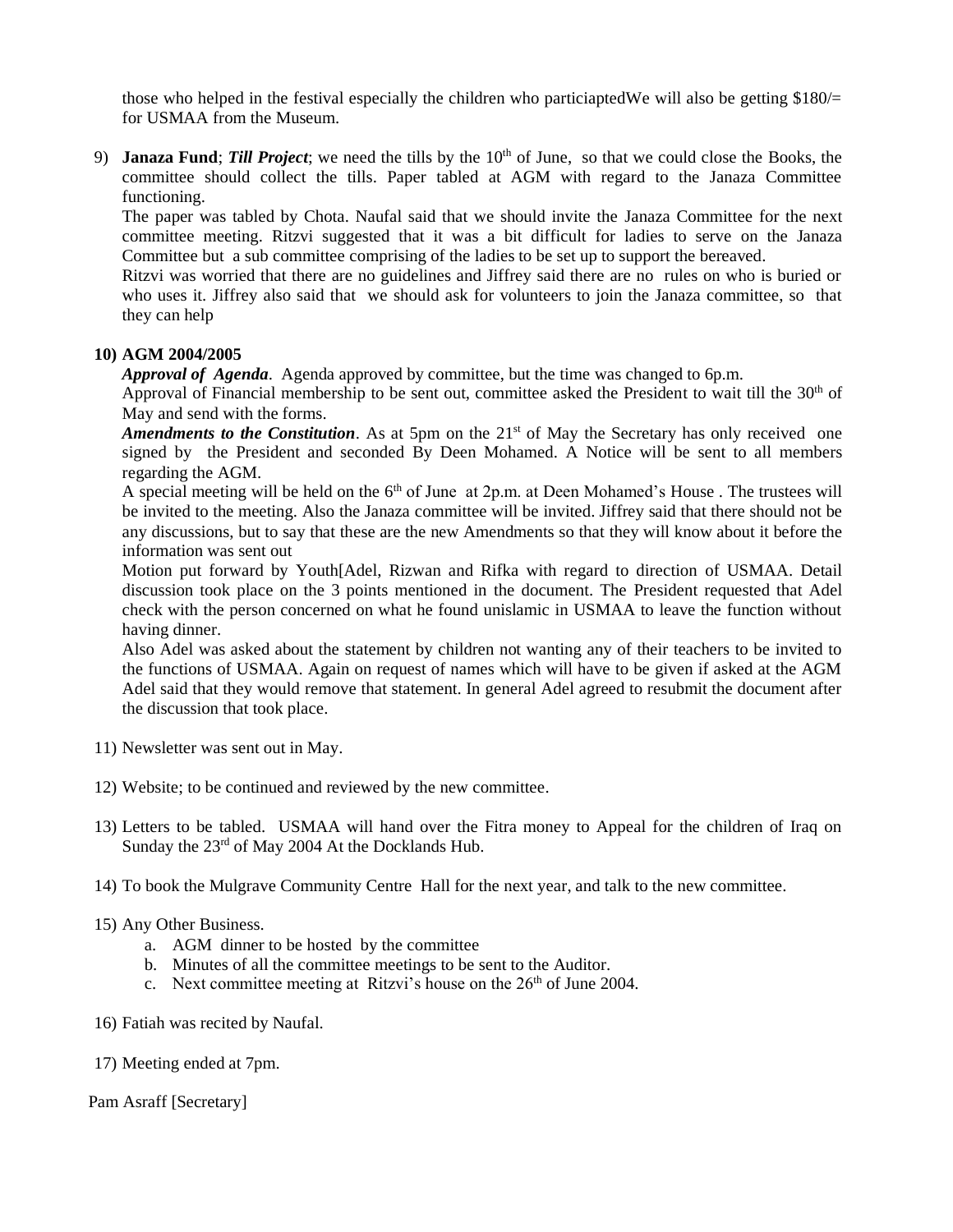those who helped in the festival especially the children who particiaptedWe will also be getting \$180/= for USMAA from the Museum.

9) **Janaza Fund**; *Till Project*; we need the tills by the 10<sup>th</sup> of June, so that we could close the Books, the committee should collect the tills. Paper tabled at AGM with regard to the Janaza Committee functioning.

The paper was tabled by Chota. Naufal said that we should invite the Janaza Committee for the next committee meeting. Ritzvi suggested that it was a bit difficult for ladies to serve on the Janaza Committee but a sub committee comprising of the ladies to be set up to support the bereaved.

Ritzvi was worried that there are no guidelines and Jiffrey said there are no rules on who is buried or who uses it. Jiffrey also said that we should ask for volunteers to join the Janaza committee, so that they can help

#### **10) AGM 2004/2005**

*Approval of Agenda*. Agenda approved by committee, but the time was changed to 6p.m.

Approval of Financial membership to be sent out, committee asked the President to wait till the  $30<sup>th</sup>$  of May and send with the forms.

*Amendments to the Constitution*. As at 5pm on the 21<sup>st</sup> of May the Secretary has only received one signed by the President and seconded By Deen Mohamed. A Notice will be sent to all members regarding the AGM.

A special meeting will be held on the  $6<sup>th</sup>$  of June at 2p.m. at Deen Mohamed's House. The trustees will be invited to the meeting. Also the Janaza committee will be invited. Jiffrey said that there should not be any discussions, but to say that these are the new Amendments so that they will know about it before the information was sent out

Motion put forward by Youth[Adel, Rizwan and Rifka with regard to direction of USMAA. Detail discussion took place on the 3 points mentioned in the document. The President requested that Adel check with the person concerned on what he found unislamic in USMAA to leave the function without having dinner.

Also Adel was asked about the statement by children not wanting any of their teachers to be invited to the functions of USMAA. Again on request of names which will have to be given if asked at the AGM Adel said that they would remove that statement. In general Adel agreed to resubmit the document after the discussion that took place.

- 11) Newsletter was sent out in May.
- 12) Website; to be continued and reviewed by the new committee.
- 13) Letters to be tabled. USMAA will hand over the Fitra money to Appeal for the children of Iraq on Sunday the 23rd of May 2004 At the Docklands Hub.
- 14) To book the Mulgrave Community Centre Hall for the next year, and talk to the new committee.
- 15) Any Other Business.
	- a. AGM dinner to be hosted by the committee
	- b. Minutes of all the committee meetings to be sent to the Auditor.
	- c. Next committee meeting at Ritzvi's house on the  $26<sup>th</sup>$  of June 2004.
- 16) Fatiah was recited by Naufal.
- 17) Meeting ended at 7pm.

Pam Asraff [Secretary]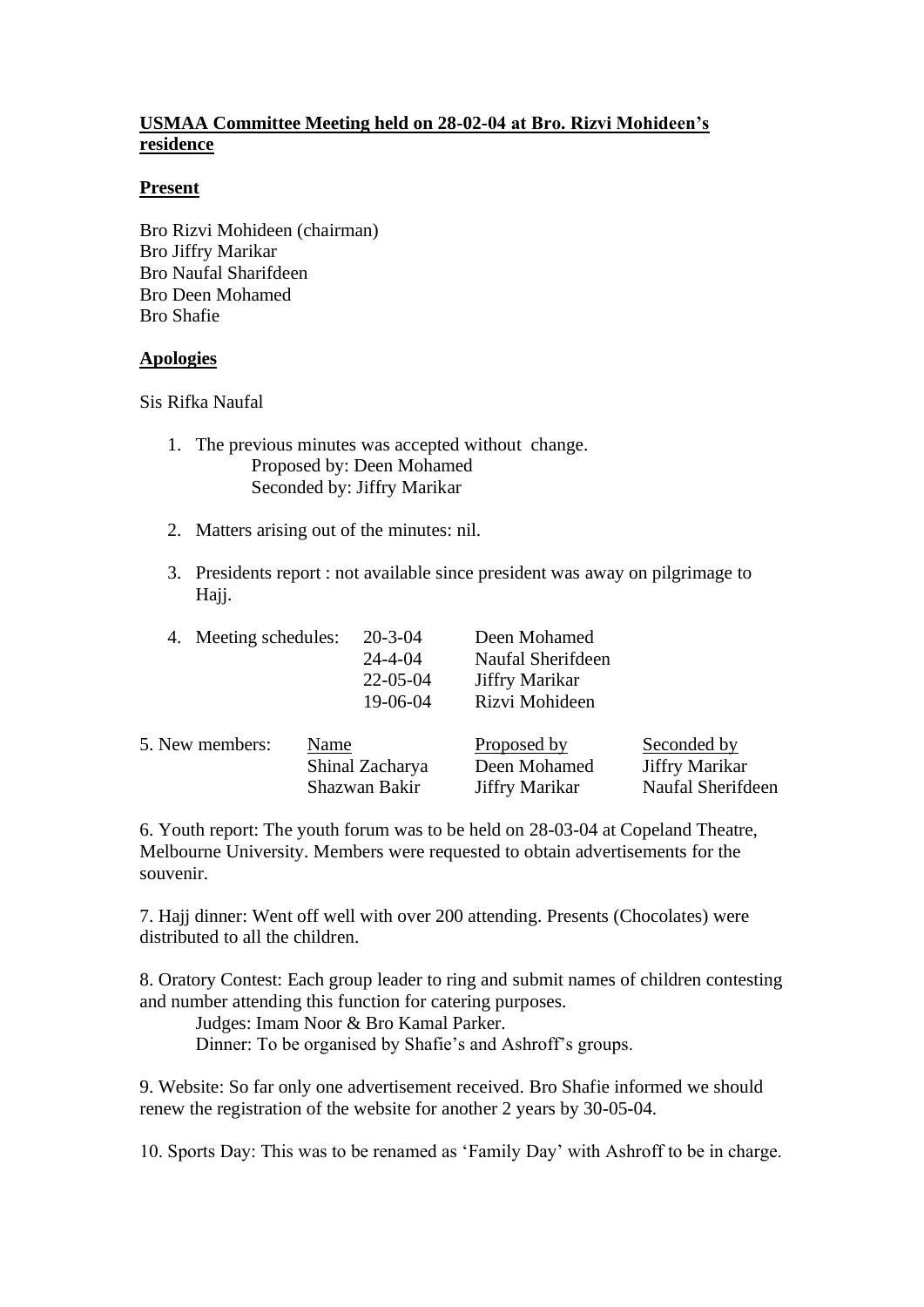## **USMAA Committee Meeting held on 28-02-04 at Bro. Rizvi Mohideen's residence**

## **Present**

Bro Rizvi Mohideen (chairman) Bro Jiffry Marikar Bro Naufal Sharifdeen Bro Deen Mohamed Bro Shafie

## **Apologies**

Sis Rifka Naufal

- 1. The previous minutes was accepted without change. Proposed by: Deen Mohamed Seconded by: Jiffry Marikar
- 2. Matters arising out of the minutes: nil.
- 3. Presidents report : not available since president was away on pilgrimage to Hajj.

| 4. Meeting schedules: | $20 - 3 - 04$<br>$24 - 4 - 04$<br>$22 - 05 - 04$<br>19-06-04 | Deen Mohamed<br>Naufal Sherifdeen<br>Jiffry Marikar<br>Rizvi Mohideen |                   |
|-----------------------|--------------------------------------------------------------|-----------------------------------------------------------------------|-------------------|
| 5. New members:       | Name                                                         | Proposed by                                                           | Seconded by       |
|                       | Shinal Zacharya                                              | Deen Mohamed                                                          | Jiffry Marikar    |
|                       | Shazwan Bakir                                                | <b>Jiffry Marikar</b>                                                 | Naufal Sherifdeen |

6. Youth report: The youth forum was to be held on 28-03-04 at Copeland Theatre, Melbourne University. Members were requested to obtain advertisements for the souvenir.

7. Hajj dinner: Went off well with over 200 attending. Presents (Chocolates) were distributed to all the children.

8. Oratory Contest: Each group leader to ring and submit names of children contesting and number attending this function for catering purposes.

Judges: Imam Noor & Bro Kamal Parker.

Dinner: To be organised by Shafie's and Ashroff's groups.

9. Website: So far only one advertisement received. Bro Shafie informed we should renew the registration of the website for another 2 years by 30-05-04.

10. Sports Day: This was to be renamed as 'Family Day' with Ashroff to be in charge.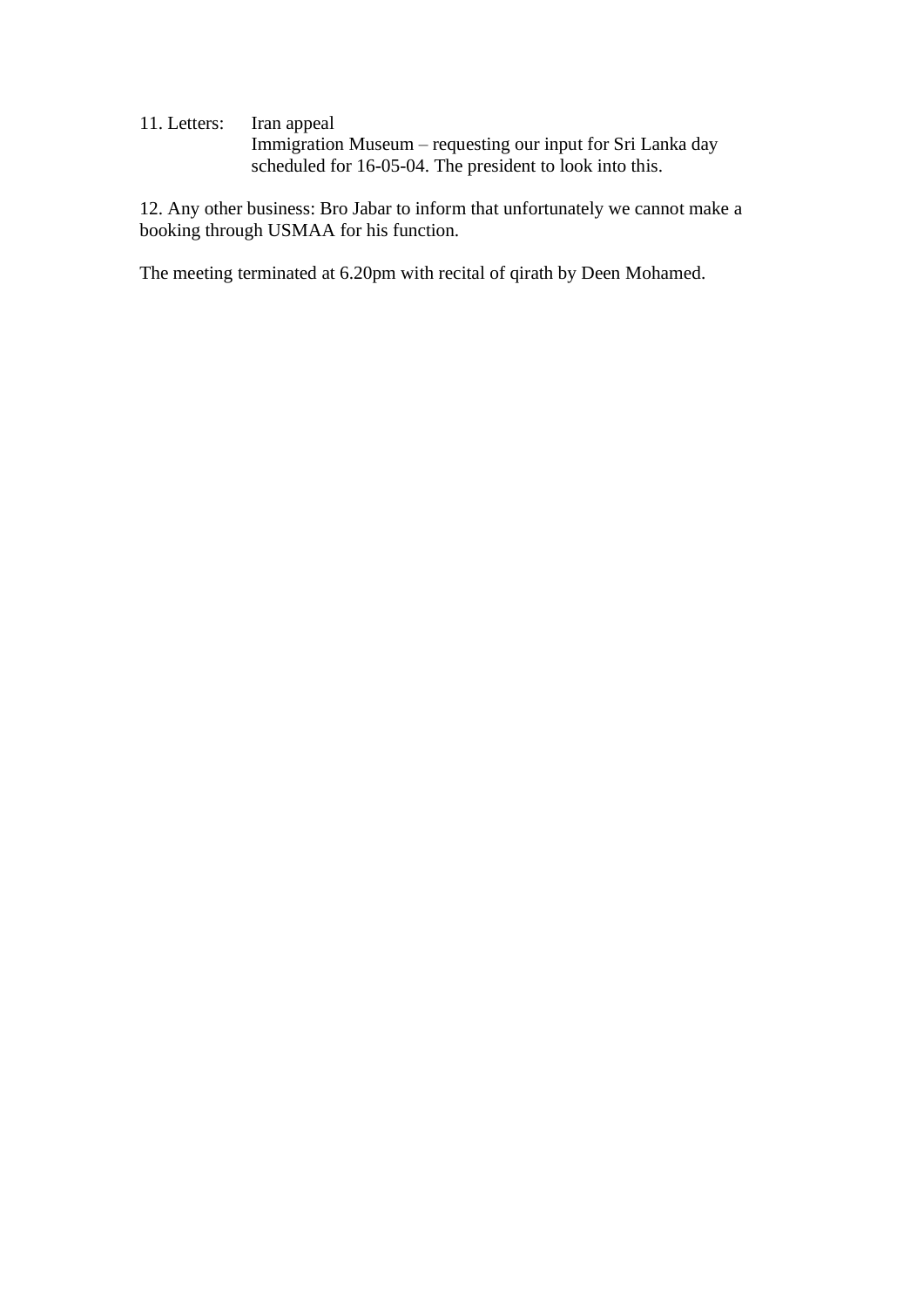11. Letters: Iran appeal Immigration Museum – requesting our input for Sri Lanka day scheduled for 16-05-04. The president to look into this.

12. Any other business: Bro Jabar to inform that unfortunately we cannot make a booking through USMAA for his function.

The meeting terminated at 6.20pm with recital of qirath by Deen Mohamed.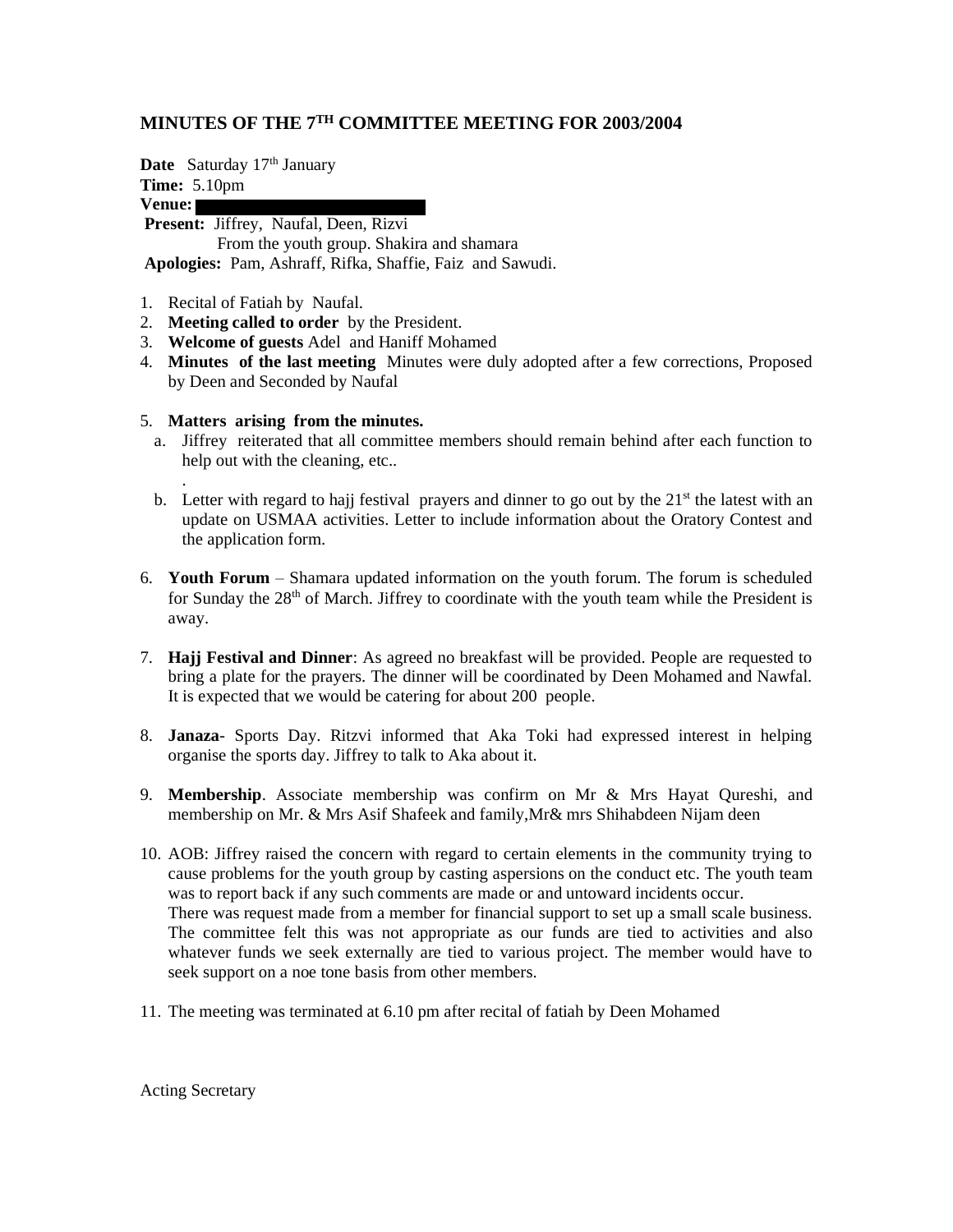## **MINUTES OF THE 7TH COMMITTEE MEETING FOR 2003/2004**

**Date** Saturday 17<sup>th</sup> January

**Time:** 5.10pm

**Venue:**

**Present:** Jiffrey, Naufal, Deen, Rizvi

 From the youth group. Shakira and shamara **Apologies:** Pam, Ashraff, Rifka, Shaffie, Faiz and Sawudi.

- 1. Recital of Fatiah by Naufal.
- 2. **Meeting called to order** by the President.
- 3. **Welcome of guests** Adel and Haniff Mohamed
- 4. **Minutes of the last meeting** Minutes were duly adopted after a few corrections, Proposed by Deen and Seconded by Naufal
- 5. **Matters arising from the minutes.**
	- a. Jiffrey reiterated that all committee members should remain behind after each function to help out with the cleaning, etc..
	- . b. Letter with regard to hajj festival prayers and dinner to go out by the  $21<sup>st</sup>$  the latest with an update on USMAA activities. Letter to include information about the Oratory Contest and the application form.
- 6. **Youth Forum** Shamara updated information on the youth forum. The forum is scheduled for Sunday the  $28<sup>th</sup>$  of March. Jiffrey to coordinate with the youth team while the President is away.
- 7. **Hajj Festival and Dinner**: As agreed no breakfast will be provided. People are requested to bring a plate for the prayers. The dinner will be coordinated by Deen Mohamed and Nawfal. It is expected that we would be catering for about 200 people.
- 8. **Janaza** Sports Day. Ritzvi informed that Aka Toki had expressed interest in helping organise the sports day. Jiffrey to talk to Aka about it.
- 9. **Membership**. Associate membership was confirm on Mr & Mrs Hayat Qureshi, and membership on Mr. & Mrs Asif Shafeek and family,Mr& mrs Shihabdeen Nijam deen
- 10. AOB: Jiffrey raised the concern with regard to certain elements in the community trying to cause problems for the youth group by casting aspersions on the conduct etc. The youth team was to report back if any such comments are made or and untoward incidents occur. There was request made from a member for financial support to set up a small scale business. The committee felt this was not appropriate as our funds are tied to activities and also whatever funds we seek externally are tied to various project. The member would have to seek support on a noe tone basis from other members.
- 11. The meeting was terminated at 6.10 pm after recital of fatiah by Deen Mohamed

Acting Secretary